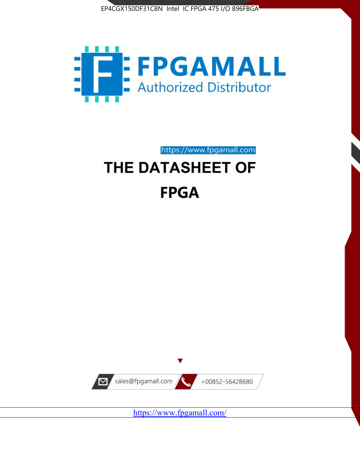



# https://www.fpgamall.com THE DATASHEET OF **FPGA**



<https://www.fpgamall.com/>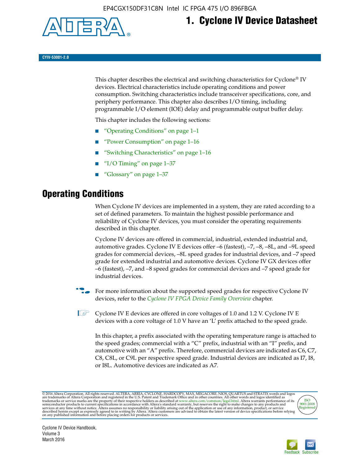

## **1. Cyclone IV Device Datasheet**

**CYIV-53001-2.0**

This chapter describes the electrical and switching characteristics for Cyclone<sup>®</sup> IV devices. Electrical characteristics include operating conditions and power consumption. Switching characteristics include transceiver specifications, core, and periphery performance. This chapter also describes I/O timing, including programmable I/O element (IOE) delay and programmable output buffer delay.

This chapter includes the following sections:

- "Operating Conditions" on page 1–1
- "Power Consumption" on page 1–16
- "Switching Characteristics" on page 1–16
- " $I/O$  Timing" on page  $1-37$
- "Glossary" on page 1–37

## **Operating Conditions**

When Cyclone IV devices are implemented in a system, they are rated according to a set of defined parameters. To maintain the highest possible performance and reliability of Cyclone IV devices, you must consider the operating requirements described in this chapter.

Cyclone IV devices are offered in commercial, industrial, extended industrial and, automotive grades. Cyclone IV E devices offer –6 (fastest), –7, –8, –8L, and –9L speed grades for commercial devices, –8L speed grades for industrial devices, and –7 speed grade for extended industrial and automotive devices. Cyclone IV GX devices offer –6 (fastest), –7, and –8 speed grades for commercial devices and –7 speed grade for industrial devices.

**For more information about the supported speed grades for respective Cyclone IV** devices, refer to the *[Cyclone IV FPGA Device Family Overview](http://www.altera.com/literature/hb/cyclone-iv/cyiv-51001.pdf)* chapter.

**1** Cyclone IV E devices are offered in core voltages of 1.0 and 1.2 V. Cyclone IV E devices with a core voltage of 1.0 V have an 'L' prefix attached to the speed grade.

In this chapter, a prefix associated with the operating temperature range is attached to the speed grades; commercial with a "C" prefix, industrial with an "I" prefix, and automotive with an "A" prefix. Therefore, commercial devices are indicated as C6, C7, C8, C8L, or C9L per respective speed grade. Industrial devices are indicated as I7, I8, or I8L. Automotive devices are indicated as A7.

@2016 Altera Corporation. All rights reserved. ALTERA, ARRIA, CYCLONE, HARDCOPY, MAX, MEGACORE, NIOS, QUARTUS and STRATIX words and logos are trademarks of Altera Corporation and registered in the U.S. Patent and Trademark



Cyclone IV Device Handbook, Volume 3 March 2016

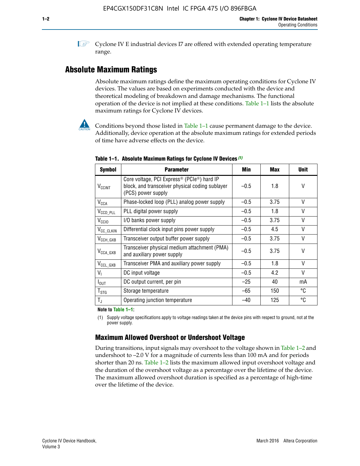**1 Cyclone IV E industrial devices I7 are offered with extended operating temperature** range.

## **Absolute Maximum Ratings**

Absolute maximum ratings define the maximum operating conditions for Cyclone IV devices. The values are based on experiments conducted with the device and theoretical modeling of breakdown and damage mechanisms. The functional operation of the device is not implied at these conditions. Table 1–1 lists the absolute maximum ratings for Cyclone IV devices.



**Conditions beyond those listed in Table 1–1 cause permanent damage to the device.** Additionally, device operation at the absolute maximum ratings for extended periods of time have adverse effects on the device.

| <b>Symbol</b>            | <b>Parameter</b>                                                                                                                | Min    | Max  | <b>Unit</b> |
|--------------------------|---------------------------------------------------------------------------------------------------------------------------------|--------|------|-------------|
| <b>V<sub>CCINT</sub></b> | Core voltage, PCI Express <sup>®</sup> (PCIe®) hard IP<br>block, and transceiver physical coding sublayer<br>(PCS) power supply | $-0.5$ | 1.8  | V           |
| $V_{CCA}$                | Phase-locked loop (PLL) analog power supply                                                                                     | $-0.5$ | 3.75 | $\vee$      |
| $V_{\text{CCD\_PLL}}$    | PLL digital power supply                                                                                                        | $-0.5$ | 1.8  | $\vee$      |
| V <sub>CCIO</sub>        | I/O banks power supply                                                                                                          | $-0.5$ | 3.75 | $\vee$      |
| V <sub>CC_CLKIN</sub>    | Differential clock input pins power supply                                                                                      | $-0.5$ | 4.5  | $\vee$      |
| $V_{\text{CCH_GXB}}$     | Transceiver output buffer power supply                                                                                          | $-0.5$ | 3.75 | V           |
| $V_{\text{CCA\_GXB}}$    | Transceiver physical medium attachment (PMA)<br>and auxiliary power supply                                                      | $-0.5$ | 3.75 | $\vee$      |
| $V_{CCL_GXB}$            | Transceiver PMA and auxiliary power supply                                                                                      | $-0.5$ | 1.8  | $\vee$      |
| $V_{1}$                  | DC input voltage                                                                                                                | $-0.5$ | 4.2  | $\vee$      |
| $I_{\text{OUT}}$         | DC output current, per pin                                                                                                      | $-25$  | 40   | mA          |
| $T_{\mathtt{STG}}$       | Storage temperature                                                                                                             | $-65$  | 150  | °C          |
| $T_{\rm J}$              | Operating junction temperature                                                                                                  | $-40$  | 125  | °C          |

**Table 1–1. Absolute Maximum Ratings for Cyclone IV Devices** *(1)*

**Note to Table 1–1:**

(1) Supply voltage specifications apply to voltage readings taken at the device pins with respect to ground, not at the power supply.

## **Maximum Allowed Overshoot or Undershoot Voltage**

During transitions, input signals may overshoot to the voltage shown in Table 1–2 and undershoot to –2.0 V for a magnitude of currents less than 100 mA and for periods shorter than 20 ns. Table 1–2 lists the maximum allowed input overshoot voltage and the duration of the overshoot voltage as a percentage over the lifetime of the device. The maximum allowed overshoot duration is specified as a percentage of high-time over the lifetime of the device.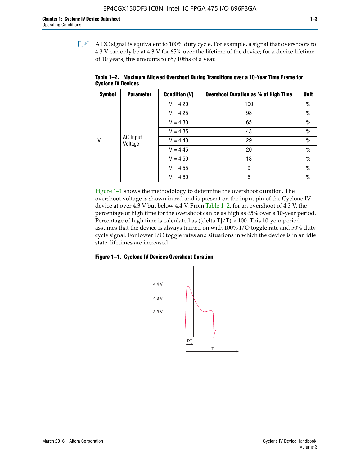$\mathbb{I}$  A DC signal is equivalent to 100% duty cycle. For example, a signal that overshoots to 4.3 V can only be at 4.3 V for 65% over the lifetime of the device; for a device lifetime of 10 years, this amounts to 65/10ths of a year.

| <b>Symbol</b> | <b>Parameter</b>           | <b>Condition (V)</b> | <b>Overshoot Duration as % of High Time</b> | Unit          |  |  |  |  |  |              |    |
|---------------|----------------------------|----------------------|---------------------------------------------|---------------|--|--|--|--|--|--------------|----|
|               |                            | $V_1 = 4.20$         | 100                                         | $\%$          |  |  |  |  |  |              |    |
|               |                            | $V_1 = 4.25$         | 98                                          | $\frac{0}{0}$ |  |  |  |  |  |              |    |
|               | <b>AC</b> Input<br>Voltage | $V_1 = 4.30$         | 65                                          | $\%$          |  |  |  |  |  |              |    |
| $V_i$         |                            | $V_1 = 4.35$         | 43                                          | $\%$          |  |  |  |  |  |              |    |
|               |                            |                      |                                             |               |  |  |  |  |  | $V_1 = 4.40$ | 29 |
|               |                            | $V_1 = 4.45$         | 20                                          | $\%$          |  |  |  |  |  |              |    |
|               |                            | $V_1 = 4.50$         | 13                                          | $\%$          |  |  |  |  |  |              |    |
|               |                            | $V_1 = 4.55$         | 9                                           | $\frac{0}{0}$ |  |  |  |  |  |              |    |
|               |                            | $V_1 = 4.60$         | 6                                           | $\%$          |  |  |  |  |  |              |    |

**Table 1–2. Maximum Allowed Overshoot During Transitions over a 10**-**Year Time Frame for Cyclone IV Devices**

Figure 1–1 shows the methodology to determine the overshoot duration. The overshoot voltage is shown in red and is present on the input pin of the Cyclone IV device at over 4.3 V but below 4.4 V. From Table 1–2, for an overshoot of 4.3 V, the percentage of high time for the overshoot can be as high as 65% over a 10-year period. Percentage of high time is calculated as ([delta  $T$ ]/T)  $\times$  100. This 10-year period assumes that the device is always turned on with 100% I/O toggle rate and 50% duty cycle signal. For lower I/O toggle rates and situations in which the device is in an idle state, lifetimes are increased.



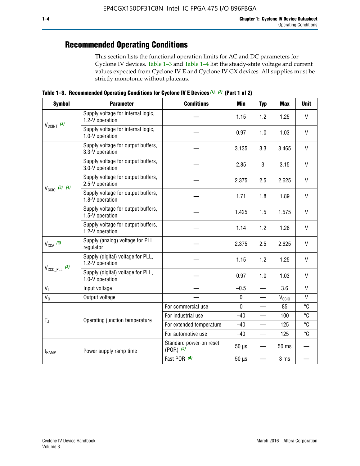## **Recommended Operating Conditions**

This section lists the functional operation limits for AC and DC parameters for Cyclone IV devices. Table 1–3 and Table 1–4 list the steady-state voltage and current values expected from Cyclone IV E and Cyclone IV GX devices. All supplies must be strictly monotonic without plateaus.

**Table 1–3. Recommended Operating Conditions for Cyclone IV E Devices** *(1)***,** *(2)* **(Part 1 of 2)**

| <b>Symbol</b>              | <b>Parameter</b>                                      | <b>Conditions</b>                        | Min         | <b>Typ</b>               | <b>Max</b>     | <b>Unit</b>  |
|----------------------------|-------------------------------------------------------|------------------------------------------|-------------|--------------------------|----------------|--------------|
|                            | Supply voltage for internal logic,<br>1.2-V operation |                                          | 1.15        | 1.2                      | 1.25           | V            |
| $V_{CClNT}$ (3)            | Supply voltage for internal logic,<br>1.0-V operation |                                          | 0.97        | 1.0                      | 1.03           | $\mathsf{V}$ |
|                            | Supply voltage for output buffers,<br>3.3-V operation |                                          | 3.135       | 3.3                      | 3.465          | $\vee$       |
|                            | Supply voltage for output buffers,<br>3.0-V operation |                                          | 2.85        | 3                        | 3.15           | V            |
| $V_{\text{CCIO}}$ (3), (4) | Supply voltage for output buffers,<br>2.5-V operation |                                          | 2.375       | 2.5                      | 2.625          | $\vee$       |
|                            | Supply voltage for output buffers,<br>1.8-V operation |                                          | 1.71        | 1.8                      | 1.89           | $\mathsf{V}$ |
|                            | Supply voltage for output buffers,<br>1.5-V operation |                                          | 1.425       | 1.5                      | 1.575          | V            |
|                            | Supply voltage for output buffers,<br>1.2-V operation |                                          | 1.14        | 1.2                      | 1.26           | V            |
| $V_{CCA}$ (3)              | Supply (analog) voltage for PLL<br>regulator          |                                          | 2.375       | 2.5                      | 2.625          | $\vee$       |
|                            | Supply (digital) voltage for PLL,<br>1.2-V operation  |                                          | 1.15        | 1.2                      | 1.25           | V            |
| $V_{\text{CCD\_PLL}}$ (3)  | Supply (digital) voltage for PLL,<br>1.0-V operation  |                                          | 0.97        | 1.0                      | 1.03           | $\vee$       |
| $V_{I}$                    | Input voltage                                         |                                          | $-0.5$      | $\equiv$                 | 3.6            | $\mathsf{V}$ |
| $V_0$                      | Output voltage                                        |                                          | $\pmb{0}$   |                          | $V_{\rm CClO}$ | V            |
|                            |                                                       | For commercial use                       | $\mathbf 0$ |                          | 85             | °C           |
| $T_{\rm J}$                | Operating junction temperature                        | For industrial use                       | $-40$       |                          | 100            | °C           |
|                            |                                                       | For extended temperature                 | $-40$       |                          | 125            | °C           |
|                            |                                                       | For automotive use                       | $-40$       | $\qquad \qquad$          | 125            | °C           |
| t <sub>RAMP</sub>          | Power supply ramp time                                | Standard power-on reset<br>$(POR)$ $(5)$ | $50 \mu s$  |                          | 50 ms          |              |
|                            |                                                       | Fast POR (6)                             | $50 \mu s$  | $\overline{\phantom{0}}$ | 3 ms           |              |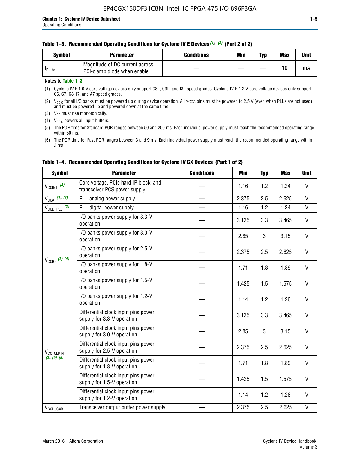|  | Table 1–3. Recommended Operating Conditions for Cyclone IV E Devices (1), (2) (Part 2 of 2) |  |  |  |
|--|---------------------------------------------------------------------------------------------|--|--|--|
|--|---------------------------------------------------------------------------------------------|--|--|--|

| Svmbol             | Parameter                                                     | <b>Conditions</b> | Min | Typ | <b>Max</b> | <b>Unit</b> |
|--------------------|---------------------------------------------------------------|-------------------|-----|-----|------------|-------------|
| <sup>I</sup> Diode | Magnitude of DC current across<br>PCI-clamp diode when enable |                   |     |     | 10         | mA          |

#### **Notes to Table 1–3:**

(1) Cyclone IV E 1.0 V core voltage devices only support C8L, C9L, and I8L speed grades. Cyclone IV E 1.2 V core voltage devices only support C6, C7, C8, I7, and A7 speed grades.

(2)  $V_{CCIO}$  for all I/O banks must be powered up during device operation. All vcca pins must be powered to 2.5 V (even when PLLs are not used) and must be powered up and powered down at the same time.

(3)  $V_{CC}$  must rise monotonically.

(4)  $V_{\text{CCIO}}$  powers all input buffers.

(5) The POR time for Standard POR ranges between 50 and 200 ms. Each individual power supply must reach the recommended operating range within 50 ms.

(6) The POR time for Fast POR ranges between 3 and 9 ms. Each individual power supply must reach the recommended operating range within 3 ms.

| <b>Symbol</b>              | <b>Parameter</b>                                                      | <b>Conditions</b> | <b>Min</b> | <b>Typ</b> | <b>Max</b> | <b>Unit</b>  |
|----------------------------|-----------------------------------------------------------------------|-------------------|------------|------------|------------|--------------|
| $V_{\text{CCINT}}$ (3)     | Core voltage, PCIe hard IP block, and<br>transceiver PCS power supply |                   | 1.16       | 1.2        | 1.24       | V            |
| $V_{CCA}$ (1), (3)         | PLL analog power supply                                               |                   | 2.375      | 2.5        | 2.625      | V            |
| $V_{\text{CCD\_PLL}}$ (2)  | PLL digital power supply                                              |                   | 1.16       | 1.2        | 1.24       | $\mathsf{V}$ |
|                            | I/O banks power supply for 3.3-V<br>operation                         |                   | 3.135      | 3.3        | 3.465      | V            |
| $V_{\text{CC10}}$ (3), (4) | I/O banks power supply for 3.0-V<br>operation                         |                   | 2.85       | 3          | 3.15       | V            |
|                            | I/O banks power supply for 2.5-V<br>operation                         |                   | 2.375      | 2.5        | 2.625      | V            |
|                            | I/O banks power supply for 1.8-V<br>operation                         |                   | 1.71       | 1.8        | 1.89       | V            |
|                            | I/O banks power supply for 1.5-V<br>operation                         |                   | 1.425      | 1.5        | 1.575      | V            |
|                            | I/O banks power supply for 1.2-V<br>operation                         |                   | 1.14       | 1.2        | 1.26       | $\mathsf{V}$ |
|                            | Differential clock input pins power<br>supply for 3.3-V operation     |                   | 3.135      | 3.3        | 3.465      | V            |
|                            | Differential clock input pins power<br>supply for 3.0-V operation     |                   | 2.85       | 3          | 3.15       | V            |
| V <sub>CC_CLKIN</sub>      | Differential clock input pins power<br>supply for 2.5-V operation     |                   | 2.375      | 2.5        | 2.625      | V            |
| (3), (5), (6)              | Differential clock input pins power<br>supply for 1.8-V operation     |                   | 1.71       | 1.8        | 1.89       | V            |
|                            | Differential clock input pins power<br>supply for 1.5-V operation     |                   | 1.425      | 1.5        | 1.575      | V            |
|                            | Differential clock input pins power<br>supply for 1.2-V operation     |                   | 1.14       | 1.2        | 1.26       | V            |
| $V_{CCH_GXB}$              | Transceiver output buffer power supply                                |                   | 2.375      | 2.5        | 2.625      | $\mathsf{V}$ |

## **Table 1–4. Recommended Operating Conditions for Cyclone IV GX Devices (Part 1 of 2)**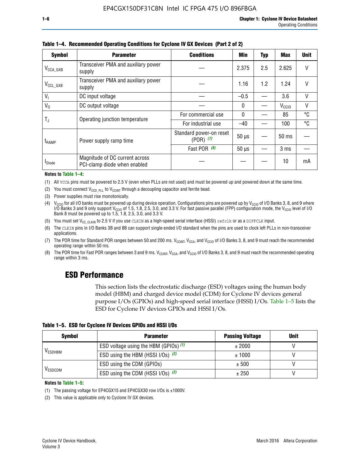| <b>Symbol</b>         | <b>Parameter</b>                                               | <b>Min</b>                               | <b>Typ</b>   | <b>Max</b> | <b>Unit</b>       |        |
|-----------------------|----------------------------------------------------------------|------------------------------------------|--------------|------------|-------------------|--------|
| $V_{\text{CCA\_GXB}}$ | Transceiver PMA and auxiliary power<br>supply                  |                                          | 2.375        | 2.5        | 2.625             |        |
| $V_{CCL_GXB}$         | Transceiver PMA and auxiliary power<br>supply                  |                                          | 1.16         | 1.2        | 1.24              | V      |
| $V_{1}$               | DC input voltage                                               |                                          | $-0.5$       |            | 3.6               | $\vee$ |
| $V_0$                 | DC output voltage                                              |                                          | 0            |            | V <sub>CCIO</sub> | V      |
|                       | Operating junction temperature                                 | For commercial use                       | $\mathbf{0}$ |            | 85                | °C     |
| T,                    |                                                                | For industrial use                       | $-40$        |            | 100               | °C     |
| $t_{\rm{RAMP}}$       | Power supply ramp time                                         | Standard power-on reset<br>$(POR)$ $(7)$ | $50 \mu s$   |            | $50$ ms           |        |
|                       |                                                                | Fast POR $(8)$                           | $50 \mu s$   |            | 3 <sub>ms</sub>   |        |
| <b>I</b> Diode        | Magnitude of DC current across<br>PCI-clamp diode when enabled |                                          |              |            | 10                | mA     |

**Table 1–4. Recommended Operating Conditions for Cyclone IV GX Devices (Part 2 of 2)**

#### **Notes to Table 1–4:**

- (1) All VCCA pins must be powered to 2.5 V (even when PLLs are not used) and must be powered up and powered down at the same time.
- (2) You must connect  $V_{CCD-PLL}$  to  $V_{CCINT}$  through a decoupling capacitor and ferrite bead.
- (3) Power supplies must rise monotonically.
- (4)  $V_{\text{CCIO}}$  for all I/O banks must be powered up during device operation. Configurations pins are powered up by V<sub>CCIO</sub> of I/O Banks 3, 8, and 9 where I/O Banks 3 and 9 only support V<sub>CCIO</sub> of 1.5, 1.8, 2.5, 3.0, and 3.3 V. For fast passive parallel (FPP) configuration mode, the V<sub>CCIO</sub> level of I/O<br>Bank 8 must be powered up to 1.5, 1.8, 2.5, 3.0, and 3.3 V.
- (5) You must set  $V_{CC_CCLKIN}$  to 2.5 V if you use CLKIN as a high-speed serial interface (HSSI) refclk or as a DIFFCLK input.
- (6) The CLKIN pins in I/O Banks 3B and 8B can support single-ended I/O standard when the pins are used to clock left PLLs in non-transceiver applications.
- (7) The POR time for Standard POR ranges between 50 and 200 ms.  $V_{\text{CCIA}}$ ,  $V_{\text{CCIA}}$ , and  $V_{\text{CCIO}}$  of I/O Banks 3, 8, and 9 must reach the recommended operating range within 50 ms.
- (8) The POR time for Fast POR ranges between 3 and 9 ms.  $V_{\text{CCH},T}$ ,  $V_{\text{CCA}}$ , and  $V_{\text{CCI}}$  of I/O Banks 3, 8, and 9 must reach the recommended operating range within 3 ms.

## **ESD Performance**

This section lists the electrostatic discharge (ESD) voltages using the human body model (HBM) and charged device model (CDM) for Cyclone IV devices general purpose I/Os (GPIOs) and high-speed serial interface (HSSI) I/Os. Table 1–5 lists the ESD for Cyclone IV devices GPIOs and HSSI I/Os.

|  |  |  |  | Table 1–5. ESD for Cyclone IV Devices GPIOs and HSSI I/Os |  |
|--|--|--|--|-----------------------------------------------------------|--|
|--|--|--|--|-----------------------------------------------------------|--|

| <b>Symbol</b>  | <b>Parameter</b>                      | <b>Passing Voltage</b> | <b>Unit</b> |
|----------------|---------------------------------------|------------------------|-------------|
|                | ESD voltage using the HBM (GPIOs) (1) | ± 2000                 |             |
| <b>VESDHBM</b> | ESD using the HBM (HSSI I/Os) (2)     | ± 1000                 |             |
|                | ESD using the CDM (GPIOs)             | ± 500                  |             |
| <b>VESDCDM</b> | ESD using the CDM (HSSI I/Os) (2)     | ± 250                  |             |

#### **Notes to Table 1–5:**

(1) The passing voltage for EP4CGX15 and EP4CGX30 row I/Os is ±1000V.

(2) This value is applicable only to Cyclone IV GX devices.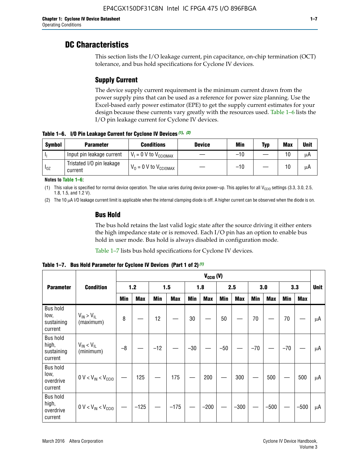## **DC Characteristics**

This section lists the I/O leakage current, pin capacitance, on-chip termination (OCT) tolerance, and bus hold specifications for Cyclone IV devices.

## **Supply Current**

The device supply current requirement is the minimum current drawn from the power supply pins that can be used as a reference for power size planning. Use the Excel-based early power estimator (EPE) to get the supply current estimates for your design because these currents vary greatly with the resources used. Table 1–6 lists the I/O pin leakage current for Cyclone IV devices.

**Table 1–6. I/O Pin Leakage Current for Cyclone IV Devices** *(1)***,** *(2)*

| <b>Symbol</b> | <b>Parameter</b>                     | <b>Conditions</b>                   | <b>Device</b> | Min   | Typ | <b>Max</b> | <b>Unit</b> |
|---------------|--------------------------------------|-------------------------------------|---------------|-------|-----|------------|-------------|
|               | Input pin leakage current            | $V_1 = 0$ V to $V_{\text{CCIOMAX}}$ |               | $-10$ |     | 10         | μA          |
| $I_{0Z}$      | Tristated I/O pin leakage<br>current | $V_0 = 0 V to V_{CCIOMAX}$          |               | $-10$ |     | 10         | μA          |

**Notes to Table 1–6:**

(1) This value is specified for normal device operation. The value varies during device power-up. This applies for all V<sub>CCIO</sub> settings (3.3, 3.0, 2.5, 1.8, 1.5, and 1.2 V).

(2) The 10 µA I/O leakage current limit is applicable when the internal clamping diode is off. A higher current can be observed when the diode is on.

## **Bus Hold**

The bus hold retains the last valid logic state after the source driving it either enters the high impedance state or is removed. Each I/O pin has an option to enable bus hold in user mode. Bus hold is always disabled in configuration mode.

Table 1–7 lists bus hold specifications for Cyclone IV devices.

|                                                   |                                  | $V_{CClO}$ (V) |            |       |            |            |            |            |            |       |            |       |            |             |
|---------------------------------------------------|----------------------------------|----------------|------------|-------|------------|------------|------------|------------|------------|-------|------------|-------|------------|-------------|
| <b>Parameter</b>                                  | <b>Condition</b>                 |                | 1.2        |       | 1.5        |            | 1.8        |            | 2.5        |       | 3.0        |       | 3.3        | <b>Unit</b> |
|                                                   |                                  | <b>Min</b>     | <b>Max</b> | Min   | <b>Max</b> | <b>Min</b> | <b>Max</b> | <b>Min</b> | <b>Max</b> | Min   | <b>Max</b> | Min   | <b>Max</b> |             |
| <b>Bus hold</b><br>low,<br>sustaining<br>current  | $V_{IN}$ > $V_{IL}$<br>(maximum) | 8              |            | 12    |            | $30\,$     |            | 50         |            | 70    |            | 70    |            | μA          |
| <b>Bus hold</b><br>high,<br>sustaining<br>current | $V_{IN}$ < $V_{IL}$<br>(minimum) | $-8$           |            | $-12$ |            | $-30$      |            | $-50$      |            | $-70$ |            | $-70$ |            | μA          |
| <b>Bus hold</b><br>low,<br>overdrive<br>current   | $0 V < V_{IN} < V_{CG10}$        |                | 125        |       | 175        |            | 200        |            | 300        |       | 500        |       | 500        | μA          |
| <b>Bus hold</b><br>high,<br>overdrive<br>current  | $0 V < V_{IN} < V_{CG10}$        |                | $-125$     |       | $-175$     |            | $-200$     |            | $-300$     |       | $-500$     |       | $-500$     | μA          |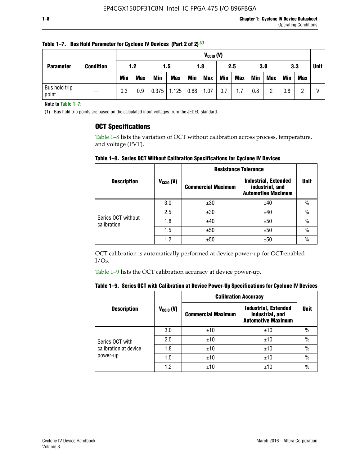|                        |                  |            | $V_{CClO}$ (V) |            |            |      |                   |            |     |     |             |            |     |  |
|------------------------|------------------|------------|----------------|------------|------------|------|-------------------|------------|-----|-----|-------------|------------|-----|--|
| <b>Parameter</b>       | <b>Condition</b> | 1.2        |                |            | 1.5        |      | 3.0<br>2.5<br>1.8 |            |     | 3.3 | <b>Unit</b> |            |     |  |
|                        |                  | <b>Min</b> | <b>Max</b>     | <b>Min</b> | <b>Max</b> | Min  | <b>Max</b>        | <b>Min</b> | Max | Min | <b>Max</b>  | <b>Min</b> | Max |  |
| Bus hold trip<br>point |                  | 0.3        | 0.9            | 0.375      | 1.125      | 0.68 | 1.07              | 0.7        | 1.7 | 0.8 | ŋ           | 0.8        |     |  |

**Table 1–7. Bus Hold Parameter for Cyclone IV Devices (Part 2 of 2)** *(1)*

**Note to Table 1–7:**

(1) Bus hold trip points are based on the calculated input voltages from the JEDEC standard.

## **OCT Specifications**

Table 1–8 lists the variation of OCT without calibration across process, temperature, and voltage (PVT).

**Table 1–8. Series OCT Without Calibration Specifications for Cyclone IV Devices**

|                                   |                      | <b>Resistance Tolerance</b> |                                                                             |               |
|-----------------------------------|----------------------|-----------------------------|-----------------------------------------------------------------------------|---------------|
| <b>Description</b>                | $V_{\text{CCIO}}(V)$ | <b>Commercial Maximum</b>   | <b>Industrial, Extended</b><br>industrial, and<br><b>Automotive Maximum</b> | <b>Unit</b>   |
|                                   | 3.0                  | ±30                         | ±40                                                                         | $\frac{0}{0}$ |
|                                   | 2.5                  | ±30                         | ±40                                                                         | $\frac{0}{0}$ |
| Series OCT without<br>calibration | 1.8                  | ±40                         | ±50                                                                         | $\frac{0}{0}$ |
|                                   | 1.5                  | ±50                         | ±50                                                                         | $\frac{0}{0}$ |
|                                   | 1.2                  | ±50                         | ±50                                                                         | $\frac{0}{0}$ |

OCT calibration is automatically performed at device power-up for OCT-enabled I/Os.

Table 1–9 lists the OCT calibration accuracy at device power-up.

|  |  | Table 1–9.  Series OCT with Calibration at Device Power-Up Specifications for Cyclone IV Devices |  |  |  |  |  |  |
|--|--|--------------------------------------------------------------------------------------------------|--|--|--|--|--|--|
|--|--|--------------------------------------------------------------------------------------------------|--|--|--|--|--|--|

|                       |                |                           | <b>Calibration Accuracy</b>                                                 |               |  |
|-----------------------|----------------|---------------------------|-----------------------------------------------------------------------------|---------------|--|
| <b>Description</b>    | $V_{CGI0} (V)$ | <b>Commercial Maximum</b> | <b>Industrial, Extended</b><br>industrial, and<br><b>Automotive Maximum</b> | <b>Unit</b>   |  |
|                       | 3.0            | ±10                       | ±10                                                                         | $\%$          |  |
| Series OCT with       | 2.5            | ±10                       | ±10                                                                         | $\%$          |  |
| calibration at device | 1.8            | ±10                       | ±10                                                                         | $\%$          |  |
| power-up              | 1.5            | ±10                       | ±10                                                                         | $\%$          |  |
|                       | 1.2            | ±10                       | ±10                                                                         | $\frac{0}{0}$ |  |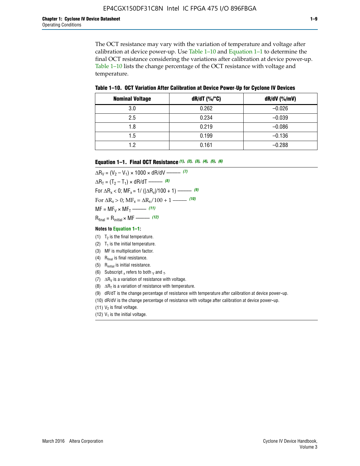The OCT resistance may vary with the variation of temperature and voltage after calibration at device power-up. Use Table 1–10 and Equation 1–1 to determine the final OCT resistance considering the variations after calibration at device power-up. Table 1–10 lists the change percentage of the OCT resistance with voltage and temperature.

**Table 1–10. OCT Variation After Calibration at Device Power**-**Up for Cyclone IV Devices**

| <b>Nominal Voltage</b> | dR/dT (%/°C) | $dR/dV$ (%/mV) |
|------------------------|--------------|----------------|
| 3.0                    | 0.262        | $-0.026$       |
| 2.5                    | 0.234        | $-0.039$       |
| 1.8                    | 0.219        | $-0.086$       |
| 1.5                    | 0.199        | $-0.136$       |
| 1.2                    | 0.161        | $-0.288$       |

#### **Equation 1–1. Final OCT Resistance** *(1)***,** *(2)***,** *(3)***,** *(4)***,** *(5)***,** *(6)*

 $\Delta R_V = (V_2 - V_1) \times 1000 \times dR/dV$  ––––––––––––(7)  $\Delta R_T = (T_2 - T_1) \times dR/dT$  ––––––– (8) For  $\Delta R_x < 0$ ; MF<sub>x</sub> = 1/ ( $|\Delta R_x|/100 + 1$ ) –––––– (9) For  $\Delta R_x > 0$ ;  $\text{MF}_x = \Delta R_x / 100 + 1$  ——– (10)  $MF = MF_V \times MF_T$  –––––––––––(11) Rfinal = Rinitial × MF ––––– *(12)*

#### **Notes to Equation 1–1:**

- (1)  $T_2$  is the final temperature.
- (2)  $T_1$  is the initial temperature.
- (3) MF is multiplication factor.
- (4)  $R<sub>final</sub>$  is final resistance.
- (5) Rinitial is initial resistance.
- (6) Subscript x refers to both  $\sqrt{v}$  and  $\sqrt{v}$ .
- (7)  $\Delta R_V$  is a variation of resistance with voltage.
- (8)  $\Delta R_T$  is a variation of resistance with temperature.
- (9) dR/dT is the change percentage of resistance with temperature after calibration at device power-up.
- (10) dR/dV is the change percentage of resistance with voltage after calibration at device power-up.
- (11)  $V_2$  is final voltage.
- (12)  $V_1$  is the initial voltage.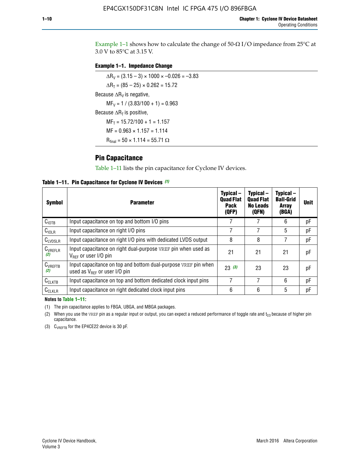Example 1-1 shows how to calculate the change of  $50$ - $\Omega$  I/O impedance from 25°C at 3.0 V to 85°C at 3.15 V.

### **Example 1–1. Impedance Change**

 $\Delta R_V = (3.15 - 3) \times 1000 \times -0.026 = -3.83$  $\Delta R_T = (85 - 25) \times 0.262 = 15.72$ Because  $\Delta R_V$  is negative,  $MF_V = 1 / (3.83/100 + 1) = 0.963$ Because  $\Delta R_T$  is positive,  $MF_T = 15.72/100 + 1 = 1.157$  $MF = 0.963 \times 1.157 = 1.114$  $R_{final} = 50 \times 1.114 = 55.71 \Omega$ 

## **Pin Capacitance**

Table 1–11 lists the pin capacitance for Cyclone IV devices.

**Table 1–11. Pin Capacitance for Cyclone IV Devices** *(1)*

| Symbol              | <b>Parameter</b>                                                                                           | Typical-<br><b>Quad Flat</b><br><b>Pack</b><br>(QFP) | Typical-<br><b>Quad Flat</b><br><b>No Leads</b><br>(QFN) | Typical-<br><b>Ball-Grid</b><br><b>Array</b><br>(BGA) | <b>Unit</b> |
|---------------------|------------------------------------------------------------------------------------------------------------|------------------------------------------------------|----------------------------------------------------------|-------------------------------------------------------|-------------|
| C <sub>IOTB</sub>   | Input capacitance on top and bottom I/O pins                                                               |                                                      |                                                          | 6                                                     | рF          |
| C <sub>IOLR</sub>   | Input capacitance on right I/O pins                                                                        |                                                      |                                                          | 5                                                     | рF          |
| $C_{LVDSLR}$        | Input capacitance on right I/O pins with dedicated LVDS output                                             | 8                                                    | 8                                                        |                                                       | рF          |
| $C_{VREFLR}$<br>(2) | Input capacitance on right dual-purpose VREF pin when used as<br>$V_{BFE}$ or user I/O pin                 | 21                                                   | 21                                                       | 21                                                    | pF          |
| $C_{VREFTB}$<br>(2) | Input capacitance on top and bottom dual-purpose VREF pin when<br>used as $V_{\text{RFF}}$ or user I/O pin | 23(3)                                                | 23                                                       | 23                                                    | pF          |
| $C_{CLKTB}$         | Input capacitance on top and bottom dedicated clock input pins                                             | 7                                                    | 7                                                        | 6                                                     | pF          |
| $C_{CLKLR}$         | Input capacitance on right dedicated clock input pins                                                      | 6                                                    | 6                                                        | 5                                                     | рF          |

#### **Notes to Table 1–11:**

(1) The pin capacitance applies to FBGA, UBGA, and MBGA packages.

(2) When you use the VREF pin as a regular input or output, you can expect a reduced performance of toggle rate and  $t_{\rm CO}$  because of higher pin capacitance.

(3) CVREFTB for the EP4CE22 device is 30 pF.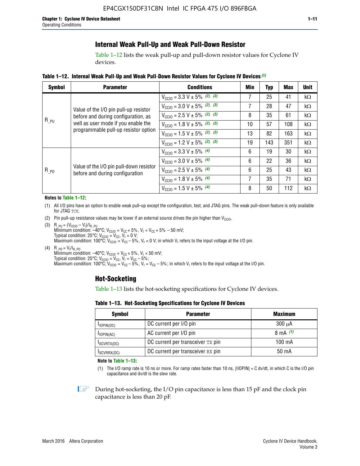## **Internal Weak Pull-Up and Weak Pull-Down Resistor**

Table 1–12 lists the weak pull-up and pull-down resistor values for Cyclone IV devices.

**Table 1–12. Internal Weak Pull**-**Up and Weak Pull**-**Down Resistor Values for Cyclone IV Devices** *(1)*

| <b>Symbol</b> | <b>Parameter</b>                                                                                                                                            | <b>Conditions</b>                                  | Min | <b>Typ</b> | <b>Max</b> | <b>Unit</b> |
|---------------|-------------------------------------------------------------------------------------------------------------------------------------------------------------|----------------------------------------------------|-----|------------|------------|-------------|
|               |                                                                                                                                                             | $V_{\text{CC10}} = 3.3 \text{ V} \pm 5\%$ (2), (3) | 7   | 25         | 41         | $k\Omega$   |
| $R_{PU}$      | Value of the I/O pin pull-up resistor<br>before and during configuration, as<br>well as user mode if you enable the<br>programmable pull-up resistor option | $V_{\text{CC10}} = 3.0 \text{ V} \pm 5\%$ (2), (3) | 7   | 28         | 47         | $k\Omega$   |
|               |                                                                                                                                                             | $V_{\text{CC10}} = 2.5 V \pm 5\%$ (2), (3)         | 8   | 35         | 61         | kΩ          |
|               |                                                                                                                                                             | $V_{\text{CC10}} = 1.8 V \pm 5\%$ (2), (3)         | 10  | 57         | 108        | kΩ          |
|               |                                                                                                                                                             | $V_{\text{CC10}} = 1.5 V \pm 5\%$ (2), (3)         | 13  | 82         | 163        | kΩ          |
|               |                                                                                                                                                             | $V_{\text{CC10}} = 1.2 \text{ V} \pm 5\%$ (2), (3) | 19  | 143        | 351        | kΩ          |
|               |                                                                                                                                                             | $V_{\text{CC10}} = 3.3 V \pm 5\%$ (4)              | 6   | 19         | 30         | kΩ          |
|               |                                                                                                                                                             | $V_{\text{CC10}} = 3.0 V \pm 5\%$ (4)              | 6   | 22         | 36         | $k\Omega$   |
| $R_{PD}$      | Value of the I/O pin pull-down resistor<br>before and during configuration                                                                                  | $V_{\text{CC10}} = 2.5 V \pm 5\%$ (4)              | 6   | 25         | 43         | $k\Omega$   |
|               |                                                                                                                                                             | $V_{\text{CC10}} = 1.8 \text{ V} \pm 5\%$ (4)      | 7   | 35         | 71         | $k\Omega$   |
|               |                                                                                                                                                             | $V_{\text{CC10}} = 1.5 V \pm 5\%$ (4)              | 8   | 50         | 112        | $k\Omega$   |

#### **Notes to Table 1–12:**

- (1) All I/O pins have an option to enable weak pull-up except the configuration, test, and JTAG pins. The weak pull-down feature is only available for JTAG TCK.
- (2) Pin pull-up resistance values may be lower if an external source drives the pin higher than  $V_{\text{CCIO}}$ .
- (3)  $R_{PU} = (V_{CC10} V_1)/I_{R_PU}$ Minimum condition: –40°C; V<sub>CCIO</sub> = V<sub>CC</sub> + 5%, V<sub>I</sub> = V<sub>CC</sub> + 5% – 50 mV; Typical condition: 25°C; V<sub>CCIO</sub> = V<sub>CC</sub>, V<sub>I</sub> = 0 V; Maximum condition: 100°C;  $V_{\text{CCIO}} = V_{\text{CC}} - 5\%$ ,  $V_1 = 0$  V; in which V<sub>I</sub> refers to the input voltage at the I/O pin.
- (4)  $R_{PD} = V_I/I_{R_PD}$ Minimum condition:  $-40^{\circ}$ C; V<sub>CCIO</sub> = V<sub>CC</sub> + 5%, V<sub>I</sub> = 50 mV; Typical condition: 25°C;  $V_{\text{CCIO}} = V_{\text{CC}}$ ,  $V_{\text{I}} = V_{\text{CC}} - 5\%$ ; Maximum condition: 100°C; V<sub>CClO</sub> = V<sub>CC</sub> – 5%, V<sub>I</sub> = V<sub>CC</sub> – 5%; in which V<sub>I</sub> refers to the input voltage at the I/O pin.

## **Hot-Socketing**

Table 1–13 lists the hot-socketing specifications for Cyclone IV devices.

**Table 1–13. Hot**-**Socketing Specifications for Cyclone IV Devices**

| <b>Symbol</b> | <b>Parameter</b>                  |             |  |  |  |
|---------------|-----------------------------------|-------------|--|--|--|
| $I$ IOPIN(DC) | DC current per I/O pin            | $300 \mu A$ |  |  |  |
| $I$ IOPIN(AC) | AC current per I/O pin            | 8 mA $(1)$  |  |  |  |
| IXCVRTX(DC)   | DC current per transceiver TX pin | 100 mA      |  |  |  |
| IXCVRRX(DC)   | DC current per transceiver RX pin | 50 mA       |  |  |  |

**Note to Table 1–13:**

(1) The I/O ramp rate is 10 ns or more. For ramp rates faster than 10 ns, |IIOPIN| = C dv/dt, in which C is the I/O pin capacitance and dv/dt is the slew rate.

 $\mathbb{I} \rightarrow \mathbb{I}$  During hot-socketing, the I/O pin capacitance is less than 15 pF and the clock pin capacitance is less than 20 pF.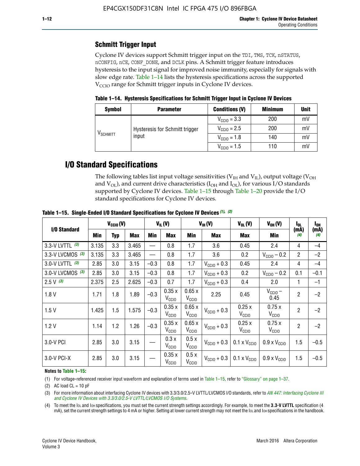## **Schmitt Trigger Input**

Cyclone IV devices support Schmitt trigger input on the TDI, TMS, TCK, nSTATUS, nCONFIG, nCE, CONF\_DONE, and DCLK pins. A Schmitt trigger feature introduces hysteresis to the input signal for improved noise immunity, especially for signals with slow edge rate. Table 1–14 lists the hysteresis specifications across the supported  $V<sub>CCIO</sub>$  range for Schmitt trigger inputs in Cyclone IV devices.

**Table 1–14. Hysteresis Specifications for Schmitt Trigger Input in Cyclone IV Devices**

| <b>Symbol</b>                  | <b>Parameter</b>               | <b>Conditions (V)</b>   |     |    |
|--------------------------------|--------------------------------|-------------------------|-----|----|
|                                |                                | $V_{\text{CGI0}} = 3.3$ | 200 | mV |
|                                | Hysteresis for Schmitt trigger | $V_{\text{CCIO}} = 2.5$ | 200 | mV |
| $\mathsf{V}_{\mathsf{SCHMIT}}$ | input                          | $V_{\text{CCIO}} = 1.8$ | 140 | mV |
|                                |                                | $V_{\text{CCIO}} = 1.5$ | 110 | mV |

## **I/O Standard Specifications**

The following tables list input voltage sensitivities ( $V<sub>IH</sub>$  and  $V<sub>II</sub>$ ), output voltage ( $V<sub>OH</sub>$ and  $V_{OL}$ ), and current drive characteristics ( $I_{OH}$  and  $I_{OL}$ ), for various I/O standards supported by Cyclone IV devices. Table 1–15 through Table 1–20 provide the I/O standard specifications for Cyclone IV devices.

|                    | $V_{CClO}(V)$ |     |            | $V_{IL}(V)$ |                            | $V_{IH} (V)$               |                         | $V_{OL}(V)$                                     | $V_{OH} (V)$                 | I <sub>OL</sub> | l <sub>oh</sub> |
|--------------------|---------------|-----|------------|-------------|----------------------------|----------------------------|-------------------------|-------------------------------------------------|------------------------------|-----------------|-----------------|
| I/O Standard       | <b>Min</b>    | Typ | <b>Max</b> | Min         | <b>Max</b>                 | Min                        | <b>Max</b>              | Max                                             | Min                          | (mA)<br>(4)     | (mA)<br>(4)     |
| 3.3-V LVTTL (3)    | 3.135         | 3.3 | 3.465      |             | 0.8                        | 1.7                        | 3.6                     | 0.45                                            | 2.4                          | 4               | $-4$            |
| 3.3-V LVCMOS $(3)$ | 3.135         | 3.3 | 3.465      |             | 0.8                        | 1.7                        | 3.6                     | 0.2                                             | $V_{\text{CC10}} - 0.2$      | $\overline{2}$  | $-2$            |
| 3.0-V LVTTL $(3)$  | 2.85          | 3.0 | 3.15       | $-0.3$      | 0.8                        | 1.7                        | $V_{\text{CC10}} + 0.3$ | 0.45                                            | 2.4                          | 4               | $-4$            |
| 3.0-V LVCMOS (3)   | 2.85          | 3.0 | 3.15       | $-0.3$      | 0.8                        | 1.7                        | $V_{\text{CC10}} + 0.3$ | 0.2                                             | $V_{\text{CC10}} - 0.2$      | 0.1             | $-0.1$          |
| $2.5 V$ (3)        | 2.375         | 2.5 | 2.625      | $-0.3$      | 0.7                        | 1.7                        | $V_{\text{CC10}} + 0.3$ | 0.4                                             | 2.0                          | 1               | $-1$            |
| 1.8V               | 1.71          | 1.8 | 1.89       | $-0.3$      | 0.35x<br>V <sub>CCIO</sub> | 0.65x<br>V <sub>CCIO</sub> | 2.25                    | 0.45                                            | $V_{\text{CCIO}} -$<br>0.45  | $\overline{2}$  | $-2$            |
| 1.5V               | 1.425         | 1.5 | 1.575      | $-0.3$      | 0.35x<br>V <sub>CCIO</sub> | 0.65x<br>V <sub>CCIO</sub> | $V_{\text{CC10}} + 0.3$ | 0.25x<br>V <sub>CClO</sub>                      | 0.75x<br>V <sub>CCIO</sub>   | $\overline{2}$  | $-2$            |
| 1.2V               | 1.14          | 1.2 | 1.26       | $-0.3$      | 0.35x<br>V <sub>CCIO</sub> | 0.65x<br>V <sub>CCIO</sub> | $V_{\text{CC10}} + 0.3$ | 0.25x<br>V <sub>CClO</sub>                      | 0.75x<br>V <sub>CCIO</sub>   | $\overline{2}$  | $-2$            |
| 3.0-V PCI          | 2.85          | 3.0 | 3.15       |             | 0.3x<br>V <sub>CCIO</sub>  | 0.5x<br>V <sub>CCIO</sub>  | $V_{\text{CCI0}} + 0.3$ | $0.1 \times V_{CC10}$                           | $0.9 \times V_{\text{CC10}}$ | 1.5             | $-0.5$          |
| $3.0 - V$ PCI-X    | 2.85          | 3.0 | 3.15       |             | 0.35x<br>V <sub>CCIO</sub> | 0.5x<br>V <sub>CCIO</sub>  |                         | $V_{\text{CC10}} + 0.3$ 0.1 x $V_{\text{CC10}}$ | $0.9 \times V_{\text{CC10}}$ | 1.5             | $-0.5$          |

**Table 1–15. Single**-**Ended I/O Standard Specifications for Cyclone IV Devices** *(1)***,** *(2)*

#### **Notes to Table 1–15:**

(1) For voltage-referenced receiver input waveform and explanation of terms used in Table 1–15, refer to "Glossary" on page 1–37.

(2) AC load  $CL = 10$  pF

(3) For more information about interfacing Cyclone IV devices with 3.3/3.0/2.5-V LVTTL/LVCMOS I/O standards, refer to *[AN 447: Interfacing Cyclone III](http://www.altera.com/literature/an/an447.pdf)  [and Cyclone IV Devices with 3.3/3.0/2.5-V LVTTL/LVCMOS I/O Systems](http://www.altera.com/literature/an/an447.pdf)*.

(4) To meet the IOL and IOH specifications, you must set the current strength settings accordingly. For example, to meet the **3.3-V LVTTL** specification (4 mA), set the current strength settings to 4 mA or higher. Setting at lower current strength may not meet the lou and lon specifications in the handbook.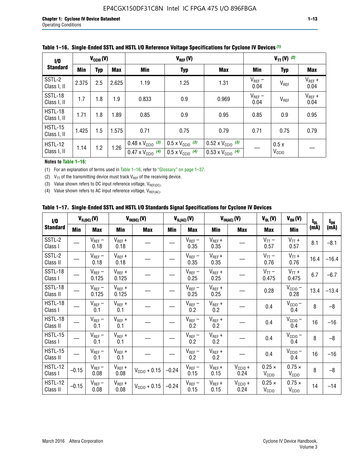| 1/0                           | $V_{\text{CC10}}(V)$ |            |       |                                                                        | $V_{TT} (V)$ (2)                                                     |                                                                        |                     |                           |                     |
|-------------------------------|----------------------|------------|-------|------------------------------------------------------------------------|----------------------------------------------------------------------|------------------------------------------------------------------------|---------------------|---------------------------|---------------------|
| <b>Standard</b>               | Min                  | <b>Typ</b> | Max   | <b>Min</b>                                                             | <b>Typ</b>                                                           | <b>Max</b>                                                             | Min                 | <b>Typ</b>                | <b>Max</b>          |
| SSTL-2<br>Class I, II         | 2.375                | 2.5        | 2.625 | 1.19                                                                   | 1.25                                                                 | 1.31                                                                   | $V_{REF}$ –<br>0.04 | $V_{REF}$                 | $V_{REF}$ +<br>0.04 |
| SSTL-18<br>Class I, II        | 1.7                  | 1.8        | 1.9   | 0.833                                                                  | 0.9                                                                  | 0.969                                                                  | $V_{REF}$ –<br>0.04 | V <sub>REF</sub>          | $V_{REF}$ +<br>0.04 |
| HSTL-18<br>Class I, II        | 1.71                 | 1.8        | 1.89  | 0.85                                                                   | 0.9                                                                  | 0.95                                                                   | 0.85                | 0.9                       | 0.95                |
| <b>HSTL-15</b><br>Class I, II | 1.425                | 1.5        | 1.575 | 0.71                                                                   | 0.75                                                                 | 0.79                                                                   | 0.71                | 0.75                      | 0.79                |
| HSTL-12<br>Class I, II        | 1.14                 | 1.2        | 1.26  | $0.48 \times V_{\text{CC10}}$ (3)<br>$0.47 \times V_{\text{CC10}}$ (4) | $0.5 \times V_{\text{CC10}}$ (3)<br>$0.5 \times V_{\text{CC10}}$ (4) | $0.52 \times V_{\text{CC10}}$ (3)<br>$0.53 \times V_{\text{CC10}}$ (4) |                     | 0.5x<br>V <sub>CCIO</sub> |                     |

|  |  |  |  | Table 1–16. Single-Ended SSTL and HSTL I/O Reference Voltage Specifications for Cyclone IV Devices (1) |
|--|--|--|--|--------------------------------------------------------------------------------------------------------|
|--|--|--|--|--------------------------------------------------------------------------------------------------------|

#### **Notes to Table 1–16:**

(1) For an explanation of terms used in Table 1–16, refer to "Glossary" on page 1–37.

(2)  $V_{TT}$  of the transmitting device must track  $V_{REF}$  of the receiving device.

(3) Value shown refers to DC input reference voltage,  $V_{REF(DC)}$ .

(4) Value shown refers to AC input reference voltage,  $V_{REF(AC)}$ .

|  | Table 1–17.  Single-Ended SSTL and HSTL I/O Standards Signal Specifications for Cyclone IV Devices |  |  |  |  |  |
|--|----------------------------------------------------------------------------------------------------|--|--|--|--|--|
|--|----------------------------------------------------------------------------------------------------|--|--|--|--|--|

| I/O                        |         | $V_{IL(DC)}(V)$        |                                      | $V_{IH(DC)}(V)$       |         | $V_{IL(AC)}(V)$     |                     | $V_{IH(AC)}(V)$      | $V_{OL}(V)$                        | $V_{OH} (V)$                       | l <sub>ol</sub> | $I_{0H}$ |
|----------------------------|---------|------------------------|--------------------------------------|-----------------------|---------|---------------------|---------------------|----------------------|------------------------------------|------------------------------------|-----------------|----------|
| <b>Standard</b>            | Min     | <b>Max</b>             | Min                                  | <b>Max</b>            | Min     | <b>Max</b>          | Min                 | <b>Max</b>           | <b>Max</b>                         | Min                                | (mA)            | (mA)     |
| SSTL-2<br>Class I          |         | $\rm V_{REF}-$<br>0.18 | $V_{REF} +$<br>0.18                  |                       |         | $V_{REF}$ –<br>0.35 | $V_{REF} +$<br>0.35 |                      | $V_{TT}$ –<br>0.57                 | $V_{TT}$ +<br>0.57                 | 8.1             | $-8.1$   |
| SSTL-2<br>Class II         |         | $V_{REF}$ –<br>0.18    | $V_{REF} +$<br>0.18                  |                       |         | $V_{REF}$ –<br>0.35 | $V_{REF} +$<br>0.35 |                      | $V_{TT}$ –<br>0.76                 | $V_{TT}$ +<br>0.76                 | 16.4            | $-16.4$  |
| <b>SSTL-18</b><br>Class I  |         | $V_{REF}$ –<br>0.125   | $V_{REF}$ +<br>0.125                 |                       |         | $V_{REF}$ –<br>0.25 | $V_{REF}$ +<br>0.25 |                      | $V_{TT}$ –<br>0.475                | $V_{TT}$ +<br>0.475                | 6.7             | $-6.7$   |
| <b>SSTL-18</b><br>Class II |         | $V_{REF}$ –<br>0.125   | $V_{REF}$ +<br>0.125                 |                       |         | $V_{REF}$ –<br>0.25 | $V_{REF}$ +<br>0.25 |                      | 0.28                               | $V_{CC10}$ –<br>0.28               | 13.4            | $-13.4$  |
| HSTL-18<br>Class I         |         | $V_{REF}$ –<br>0.1     | $V_{REF} +$<br>0.1                   |                       |         | $V_{REF}$ –<br>0.2  | $V_{REF}$ +<br>0.2  |                      | 0.4                                | $V_{CCIO}$ –<br>0.4                | 8               | $-8$     |
| HSTL-18<br>Class II        |         | $V_{REF}$ –<br>0.1     | $V_{REF} +$<br>0.1                   |                       |         | $V_{REF}$ –<br>0.2  | $V_{REF} +$<br>0.2  |                      | 0.4                                | $V_{CC10}$ –<br>0.4                | 16              | $-16$    |
| HSTL-15<br>Class I         |         | $V_{REF}$ –<br>0.1     | $V_{REF} +$<br>0.1                   |                       |         | $V_{REF}$ –<br>0.2  | $V_{REF}$ +<br>0.2  |                      | 0.4                                | $V_{\text{CC1O}} -$<br>0.4         | 8               | $-8$     |
| HSTL-15<br>Class II        |         | $V_{REF}$ –<br>0.1     | $\mathsf{V}_{\mathsf{REF}}$ +<br>0.1 |                       |         | $V_{REF}$ –<br>0.2  | $V_{REF}$ +<br>0.2  |                      | 0.4                                | $V_{CC10}$ –<br>0.4                | 16              | $-16$    |
| <b>HSTL-12</b><br>Class I  | $-0.15$ | $V_{REF}-$<br>0.08     | $V_{REF} +$<br>0.08                  | $V_{CGI0} + 0.15$     | $-0.24$ | $V_{REF}$ –<br>0.15 | $V_{REF} +$<br>0.15 | $V_{CCIO} +$<br>0.24 | $0.25 \times$<br>V <sub>CCIO</sub> | $0.75 \times$<br>V <sub>CCIO</sub> | 8               | $-8$     |
| HSTL-12<br>Class II        | $-0.15$ | $V_{REF}-$<br>0.08     | $V_{REF} +$<br>0.08                  | $V_{\rm CClO} + 0.15$ | $-0.24$ | $V_{REF}$ –<br>0.15 | $V_{REF} +$<br>0.15 | $V_{CC10}$ +<br>0.24 | $0.25 \times$<br>V <sub>CCIO</sub> | $0.75 \times$<br>V <sub>CCIO</sub> | 14              | $-14$    |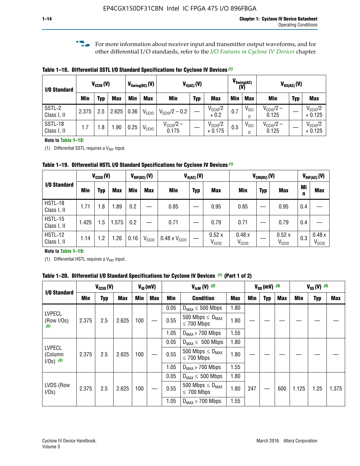**f For more information about receiver input and transmitter output waveforms, and for** other differential I/O standards, refer to the *[I/O Features in Cyclone IV Devices](http://www.altera.com/literature/hb/cyclone-iv/cyiv-51006.pdf)* chapter*.*

**Table 1–18. Differential SSTL I/O Standard Specifications for Cyclone IV Devices** *(1)*

| I/O Standard           |       | $V_{\text{CCIO}}(V)$ |            |      | $V_{\text{Swing(DC)}}(V)$ |                           | $V_{X(AC)}(V)$ |                                 |     | $V_{\text{Swing}(AC)}$<br>(V) | $V_{OX(AC)}(V)$                |            |                                 |  |
|------------------------|-------|----------------------|------------|------|---------------------------|---------------------------|----------------|---------------------------------|-----|-------------------------------|--------------------------------|------------|---------------------------------|--|
|                        | Min   | Typ                  | <b>Max</b> | Min  | <b>Max</b>                | <b>Min</b>                | <b>Typ</b>     | <b>Max</b>                      | Min | <b>Max</b>                    | Min                            | <b>Typ</b> | <b>Max</b>                      |  |
| SSTL-2<br>Class I, II  | 2.375 | 2.5                  | 2.625      | 0.36 | V <sub>CCIO</sub>         | $V_{\text{CC10}}/2 - 0.2$ |                | $V_{\text{CC10}}/2$<br>$+0.2$   | 0.7 | $V_{\text{CCI}}$<br>$\Omega$  | $V_{\text{CC10}}/2 -$<br>0.125 |            | $V_{\text{CC10}}/2$<br>$+0.125$ |  |
| SSTL-18<br>Class I, II | 1.7   | .8                   | .90        | 0.25 | V <sub>CCIO</sub>         | $V_{CC10}/2 -$<br>0.175   |                | $V_{\text{CC10}}/2$<br>$+0.175$ | 0.5 | $V_{\text{CCI}}$<br>0         | $V_{\text{CC10}}/2 -$<br>0.125 |            | $V_{\text{CC10}}/2$<br>$+0.125$ |  |

#### **Note to Table 1–18:**

(1) Differential SSTL requires a  $V_{REF}$  input.

**Table 1–19. Differential HSTL I/O Standard Specifications for Cyclone IV Devices** *(1)*

|                               | $V_{\text{CCIO}}(V)$ |     |            | $V_{\text{DIF(DC)}}(V)$ |                   | $V_{X(AC)}(V)$                |            |                            | $V_{CM(DC)}(V)$            |            |                            | $V_{\text{DIF(AC)}}(V)$ |                            |  |
|-------------------------------|----------------------|-----|------------|-------------------------|-------------------|-------------------------------|------------|----------------------------|----------------------------|------------|----------------------------|-------------------------|----------------------------|--|
| I/O Standard                  | Min                  | Typ | <b>Max</b> | Min                     | <b>Max</b>        | <b>Min</b>                    | <b>Typ</b> | <b>Max</b>                 | Min                        | <b>Typ</b> | <b>Max</b>                 | Mi<br>n                 | <b>Max</b>                 |  |
| HSTL-18<br>Class I, II        | 1.71                 | 1.8 | .89        | 0.2                     |                   | 0.85                          |            | 0.95                       | 0.85                       |            | 0.95                       | 0.4                     |                            |  |
| <b>HSTL-15</b><br>Class I, II | 1.425                | 1.5 | 1.575      | $0.2\,$                 |                   | 0.71                          |            | 0.79                       | 0.71                       |            | 0.79                       | 0.4                     |                            |  |
| <b>HSTL-12</b><br>Class I, II | 1.14                 | 1.2 | l.26       | 0.16                    | V <sub>CCIO</sub> | $0.48 \times V_{\text{CCIO}}$ |            | 0.52x<br>V <sub>CCIO</sub> | 0.48x<br>V <sub>CCIO</sub> |            | 0.52x<br>V <sub>CCIO</sub> | 0.3                     | 0.48x<br>V <sub>CCIO</sub> |  |

### **Note to Table 1–19:**

(1) Differential HSTL requires a  $V_{REF}$  input.

**Table 1–20. Differential I/O Standard Specifications for Cyclone IV Devices** *(1)* **(Part 1 of 2)**

| I/O Standard                            |       | $V_{CCl0} (V)$ |            |            | $V_{ID}$ (mV) |      | $V_{\text{lcm}}(V)^{(2)}$                           |            |     | $V_{0D}$ (mV) $(3)$ |     |       | $V_{0S} (V)^{(3)}$ |       |
|-----------------------------------------|-------|----------------|------------|------------|---------------|------|-----------------------------------------------------|------------|-----|---------------------|-----|-------|--------------------|-------|
|                                         | Min   | Typ            | <b>Max</b> | <b>Min</b> | <b>Max</b>    | Min  | <b>Condition</b>                                    | <b>Max</b> | Min | Typ                 | Max | Min   | <b>Typ</b>         | Max   |
|                                         |       |                |            |            |               | 0.05 | $D_{MAX} \leq 500$ Mbps                             | 1.80       |     |                     |     |       |                    |       |
| <b>LVPECL</b><br>(Row I/Os)<br>(6)      | 2.375 | 2.5            | 2.625      | 100        |               | 0.55 | 500 Mbps $\leq$ D <sub>MAX</sub><br>$\leq$ 700 Mbps | 1.80       |     |                     |     |       |                    |       |
|                                         |       |                |            |            |               | 1.05 | $D_{MAX}$ > 700 Mbps                                | 1.55       |     |                     |     |       |                    |       |
|                                         |       |                |            |            |               | 0.05 | $D_{MAX} \leq 500$ Mbps                             | 1.80       |     |                     |     |       |                    |       |
| <b>LVPECL</b><br>(Column<br>$1/Os)$ (6) | 2.375 | 2.5            | 2.625      | 100        |               | 0.55 | 500 Mbps $\leq D_{MAX}$<br>$\leq$ 700 Mbps          | 1.80       |     |                     |     |       |                    |       |
|                                         |       |                |            |            |               | 1.05 | $D_{MAX}$ > 700 Mbps                                | 1.55       |     |                     |     |       |                    |       |
|                                         |       |                |            |            |               | 0.05 | $D_{MAX} \leq 500$ Mbps                             | 1.80       |     |                     |     |       |                    |       |
| LVDS (Row<br>I/Os)                      | 2.375 | 2.5            | 2.625      | 100        |               | 0.55 | 500 Mbps $\leq D_{MAX}$<br>$\leq 700$ Mbps          | 1.80       | 247 |                     | 600 | 1.125 | 1.25               | 1.375 |
|                                         |       |                |            |            |               | 1.05 | $D_{MAX}$ > 700 Mbps                                | 1.55       |     |                     |     |       |                    |       |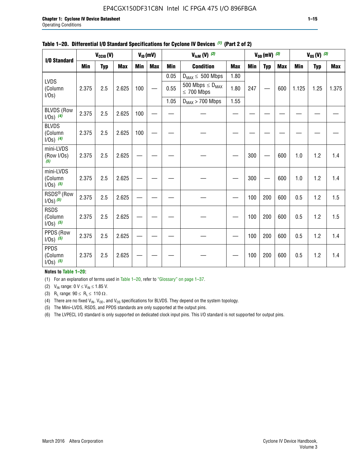## EP4CGX150DF31C8N Intel IC FPGA 475 I/O 896FBGA

| I/O Standard                             |       | $V_{CClO}(V)$ |            |            | $V_{ID}(mV)$ |            | $V_{\text{lcm}}(V)^{(2)}$                  |            |            | $V_{OD}$ (mV) $(3)$ |            |       | $V_{0S} (V)$ (3) |            |
|------------------------------------------|-------|---------------|------------|------------|--------------|------------|--------------------------------------------|------------|------------|---------------------|------------|-------|------------------|------------|
|                                          | Min   | <b>Typ</b>    | <b>Max</b> | <b>Min</b> | <b>Max</b>   | <b>Min</b> | <b>Condition</b>                           | <b>Max</b> | <b>Min</b> | <b>Typ</b>          | <b>Max</b> | Min   | <b>Typ</b>       | <b>Max</b> |
|                                          |       |               |            |            |              | 0.05       | $D_{MAX} \leq 500$ Mbps                    | 1.80       |            |                     |            |       |                  |            |
| <b>LVDS</b><br>(Column<br>$I/Os$ )       | 2.375 | 2.5           | 2.625      | 100        |              | 0.55       | 500 Mbps $\leq D_{MAX}$<br>$\leq 700$ Mbps | 1.80       | 247        |                     | 600        | 1.125 | 1.25             | 1.375      |
|                                          |       |               |            |            |              | 1.05       | $D_{MAX}$ > 700 Mbps                       | 1.55       |            |                     |            |       |                  |            |
| <b>BLVDS (Row</b><br>$1/0s)$ (4)         | 2.375 | 2.5           | 2.625      | 100        |              |            |                                            |            |            |                     |            |       |                  |            |
| <b>BLVDS</b><br>(Column<br>$1/0s)$ (4)   | 2.375 | 2.5           | 2.625      | 100        |              |            |                                            |            |            |                     |            |       |                  |            |
| mini-LVDS<br>(Row I/Os)<br>(5)           | 2.375 | 2.5           | 2.625      |            |              |            |                                            |            | 300        |                     | 600        | 1.0   | 1.2              | 1.4        |
| mini-LVDS<br>(Column<br>$1/0s)$ (5)      | 2.375 | 2.5           | 2.625      |            |              |            |                                            |            | 300        |                     | 600        | 1.0   | 1.2              | 1.4        |
| RSDS <sup>®</sup> (Row<br>$1/0s$ ) $(5)$ | 2.375 | 2.5           | 2.625      |            |              |            |                                            |            | 100        | 200                 | 600        | 0.5   | 1.2              | 1.5        |
| <b>RSDS</b><br>(Column<br>$1/Os)$ (5)    | 2.375 | 2.5           | 2.625      |            |              |            |                                            |            | 100        | 200                 | 600        | 0.5   | 1.2              | 1.5        |
| PPDS (Row<br>$1/0s)$ (5)                 | 2.375 | 2.5           | 2.625      |            |              |            |                                            |            | 100        | 200                 | 600        | 0.5   | 1.2              | 1.4        |
| <b>PPDS</b><br>(Column<br>$1/0s)$ (5)    | 2.375 | 2.5           | 2.625      |            |              |            |                                            |            | 100        | 200                 | 600        | 0.5   | 1.2              | 1.4        |

### **Table 1–20. Differential I/O Standard Specifications for Cyclone IV Devices** *(1)* **(Part 2 of 2)**

### **Notes to Table 1–20:**

(1) For an explanation of terms used in Table 1–20, refer to "Glossary" on page 1–37.

(2)  $V_{IN}$  range: 0  $V \le V_{IN} \le 1.85$  V.

(3) R<sub>L</sub> range:  $90 \le R_L \le 110 \Omega$ .

(4) There are no fixed  $V_{IN}$ ,  $V_{OD}$ , and  $V_{OS}$  specifications for BLVDS. They depend on the system topology.

(5) The Mini-LVDS, RSDS, and PPDS standards are only supported at the output pins.

(6) The LVPECL I/O standard is only supported on dedicated clock input pins. This I/O standard is not supported for output pins.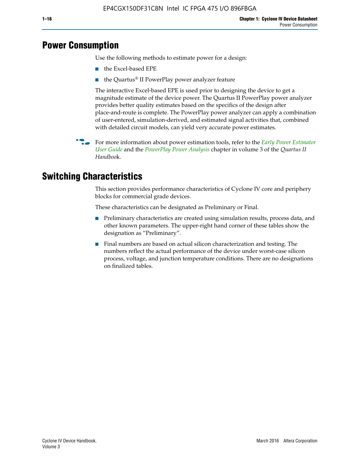## **Power Consumption**

Use the following methods to estimate power for a design:

- the Excel-based EPE
- the Quartus® II PowerPlay power analyzer feature

The interactive Excel-based EPE is used prior to designing the device to get a magnitude estimate of the device power. The Quartus II PowerPlay power analyzer provides better quality estimates based on the specifics of the design after place-and-route is complete. The PowerPlay power analyzer can apply a combination of user-entered, simulation-derived, and estimated signal activities that, combined with detailed circuit models, can yield very accurate power estimates.

f For more information about power estimation tools, refer to the *[Early Power Estimator](http://www.altera.com/literature/ug/ug_epe.pdf
)  [User Guide](http://www.altera.com/literature/ug/ug_epe.pdf
)* and the *[PowerPlay Power Analysis](http://www.altera.com/literature/hb/qts/qts_qii53013.pdf)* chapter in volume 3 of the *Quartus II Handboo*k.

## **Switching Characteristics**

This section provides performance characteristics of Cyclone IV core and periphery blocks for commercial grade devices.

These characteristics can be designated as Preliminary or Final.

- Preliminary characteristics are created using simulation results, process data, and other known parameters. The upper-right hand corner of these tables show the designation as "Preliminary".
- Final numbers are based on actual silicon characterization and testing. The numbers reflect the actual performance of the device under worst-case silicon process, voltage, and junction temperature conditions. There are no designations on finalized tables.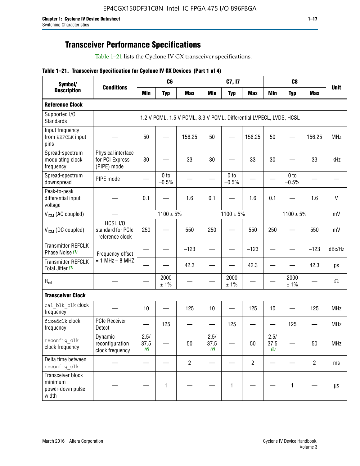## **Transceiver Performance Specifications**

Table 1–21 lists the Cyclone IV GX transceiver specifications.

|  |  |  |  | Table 1-21. Transceiver Specification for Cyclone IV GX Devices (Part 1 of 4) |  |
|--|--|--|--|-------------------------------------------------------------------------------|--|
|--|--|--|--|-------------------------------------------------------------------------------|--|

| Symbol/                                                   |                                                      |                          | C6                         |                                                                     |                          | C7, I7                     |                               | C <sub>8</sub>           |                            |                |             |
|-----------------------------------------------------------|------------------------------------------------------|--------------------------|----------------------------|---------------------------------------------------------------------|--------------------------|----------------------------|-------------------------------|--------------------------|----------------------------|----------------|-------------|
| <b>Description</b>                                        | <b>Conditions</b>                                    | <b>Min</b>               | <b>Typ</b>                 | <b>Max</b>                                                          | <b>Min</b>               | <b>Typ</b>                 | <b>Max</b>                    | <b>Min</b>               | <b>Typ</b>                 | <b>Max</b>     | <b>Unit</b> |
| <b>Reference Clock</b>                                    |                                                      |                          |                            |                                                                     |                          |                            |                               |                          |                            |                |             |
| Supported I/O<br><b>Standards</b>                         |                                                      |                          |                            | 1.2 V PCML, 1.5 V PCML, 3.3 V PCML, Differential LVPECL, LVDS, HCSL |                          |                            |                               |                          |                            |                |             |
| Input frequency<br>from REFCLK input<br>pins              |                                                      | 50                       |                            | 156.25                                                              | 50                       |                            | 156.25                        | 50                       |                            | 156.25         | <b>MHz</b>  |
| Spread-spectrum<br>modulating clock<br>frequency          | Physical interface<br>for PCI Express<br>(PIPE) mode | 30                       |                            | 33                                                                  | 30                       |                            | 33                            | 30                       |                            | 33             | kHz         |
| Spread-spectrum<br>downspread                             | PIPE mode                                            |                          | 0 <sub>to</sub><br>$-0.5%$ |                                                                     |                          | 0 <sub>to</sub><br>$-0.5%$ |                               |                          | 0 <sub>to</sub><br>$-0.5%$ |                |             |
| Peak-to-peak<br>differential input<br>voltage             |                                                      | 0.1                      |                            | 1.6                                                                 | 0.1                      |                            | 1.6                           | 0.1                      |                            | 1.6            | $\vee$      |
| V <sub>ICM</sub> (AC coupled)                             |                                                      |                          | $1100 \pm 5\%$             |                                                                     |                          | $1100 \pm 5\%$             |                               |                          | $1100 \pm 5\%$             |                | mV          |
| $V_{ICM}$ (DC coupled)                                    | HCSL I/O<br>standard for PCIe<br>reference clock     | 250                      |                            | 550                                                                 | 250                      |                            | 550                           | 250                      |                            | 550            | mV          |
| <b>Transmitter REFCLK</b><br>Phase Noise (1)              | Frequency offset                                     | $\overline{\phantom{0}}$ |                            | $-123$                                                              | $\overline{\phantom{0}}$ |                            | $-123$                        | $\overline{\phantom{0}}$ |                            | $-123$         | dBc/Hz      |
| <b>Transmitter REFCLK</b><br>Total Jitter (1)             | $= 1$ MHz $- 8$ MHZ                                  |                          |                            | 42.3                                                                | $\overline{\phantom{0}}$ |                            | 42.3                          |                          |                            | 42.3           | ps          |
| $R_{ref}$                                                 |                                                      |                          | 2000<br>± 1%               |                                                                     |                          | 2000<br>± 1%               |                               |                          | 2000<br>± 1%               |                | Ω           |
| <b>Transceiver Clock</b>                                  |                                                      |                          |                            |                                                                     |                          |                            |                               |                          |                            |                |             |
| cal blk clk clock<br>frequency                            |                                                      | 10                       |                            | 125                                                                 | 10                       |                            | 125                           | 10                       |                            | 125            | MHz         |
| fixedclk Clock<br>frequency                               | PCIe Receiver<br>Detect                              |                          | 125                        |                                                                     | —                        | 125                        | $\overbrace{\phantom{aaaaa}}$ | —                        | 125                        |                | <b>MHz</b>  |
| reconfig_clk<br>clock frequency                           | Dynamic<br>reconfiguration<br>clock frequency        | 2.5/<br>37.5<br>(2)      |                            | 50                                                                  | 2.5/<br>37.5<br>(2)      |                            | 50                            | 2.5/<br>37.5<br>(2)      |                            | 50             | <b>MHz</b>  |
| Delta time between<br>reconfig clk                        |                                                      |                          |                            | $\overline{2}$                                                      |                          |                            | $\overline{2}$                |                          |                            | $\overline{2}$ | ms          |
| Transceiver block<br>minimum<br>power-down pulse<br>width |                                                      |                          | 1                          |                                                                     |                          | 1                          |                               |                          | $\mathbf{1}$               |                | $\mu s$     |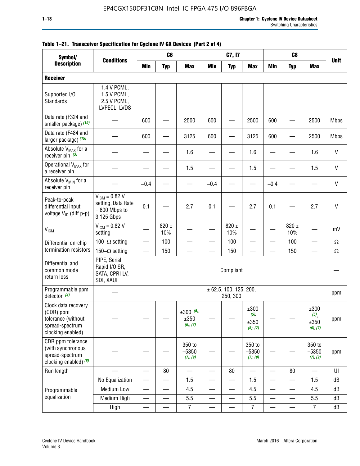|                                                                                                | C <sub>8</sub><br>C <sub>6</sub><br>C7, I7<br>Symbol/<br><b>Conditions</b> |                          |                          |                                    |            |                                    |                                     |                          |                          |                                 |              |
|------------------------------------------------------------------------------------------------|----------------------------------------------------------------------------|--------------------------|--------------------------|------------------------------------|------------|------------------------------------|-------------------------------------|--------------------------|--------------------------|---------------------------------|--------------|
| <b>Description</b>                                                                             |                                                                            | <b>Min</b>               | <b>Typ</b>               | <b>Max</b>                         | <b>Min</b> | <b>Typ</b>                         | <b>Max</b>                          | <b>Min</b>               | <b>Typ</b>               | <b>Max</b>                      | <b>Unit</b>  |
| <b>Receiver</b>                                                                                |                                                                            |                          |                          |                                    |            |                                    |                                     |                          |                          |                                 |              |
| Supported I/O<br>Standards                                                                     | 1.4 V PCML,<br>1.5 V PCML,<br>2.5 V PCML,<br>LVPECL, LVDS                  |                          |                          |                                    |            |                                    |                                     |                          |                          |                                 |              |
| Data rate (F324 and<br>smaller package) (15)                                                   |                                                                            | 600                      |                          | 2500                               | 600        |                                    | 2500                                | 600                      |                          | 2500                            | <b>Mbps</b>  |
| Data rate (F484 and<br>larger package) (15)                                                    |                                                                            | 600                      |                          | 3125                               | 600        |                                    | 3125                                | 600                      |                          | 2500                            | <b>Mbps</b>  |
| Absolute V <sub>MAX</sub> for a<br>receiver pin $(3)$                                          |                                                                            |                          |                          | 1.6                                |            |                                    | 1.6                                 |                          |                          | 1.6                             | $\mathsf{V}$ |
| Operational V <sub>MAX</sub> for<br>a receiver pin                                             |                                                                            |                          |                          | 1.5                                |            |                                    | 1.5                                 |                          |                          | 1.5                             | $\mathsf{V}$ |
| Absolute V <sub>MIN</sub> for a<br>receiver pin                                                |                                                                            | $-0.4$                   |                          |                                    | $-0.4$     |                                    |                                     | $-0.4$                   |                          |                                 | $\mathsf{V}$ |
| Peak-to-peak<br>differential input<br>voltage V <sub>ID</sub> (diff p-p)                       | $V_{ICM} = 0.82 V$<br>setting, Data Rate<br>$= 600$ Mbps to<br>3.125 Gbps  | 0.1                      |                          | 2.7                                | 0.1        |                                    | 2.7                                 | 0.1                      |                          | 2.7                             | V            |
| <b>V<sub>ICM</sub></b>                                                                         | $V_{IGM} = 0.82 V$<br>setting                                              |                          | $820 \pm$<br>10%         |                                    |            | $820 \pm$<br>10%                   |                                     |                          | $820 \pm$<br>10%         |                                 | mV           |
| Differential on-chip                                                                           | 100 $-\Omega$ setting                                                      | —                        | 100                      |                                    |            | 100                                | $\overline{\phantom{0}}$            | $\overline{\phantom{0}}$ | 100                      | $\overline{\phantom{0}}$        | $\Omega$     |
| termination resistors                                                                          | 150 $-\Omega$ setting                                                      |                          | 150                      |                                    |            | 150                                |                                     |                          | 150                      |                                 | $\Omega$     |
| Differential and<br>common mode<br>return loss                                                 | PIPE, Serial<br>Rapid I/O SR,<br>SATA, CPRI LV,<br>SDI, XAUI               |                          |                          |                                    |            | Compliant                          |                                     |                          |                          |                                 |              |
| Programmable ppm<br>detector $(4)$                                                             |                                                                            |                          |                          |                                    |            | ± 62.5, 100, 125, 200,<br>250, 300 |                                     |                          |                          |                                 | ppm          |
| Clock data recovery<br>(CDR) ppm<br>tolerance (without<br>spread-spectrum<br>clocking enabled) |                                                                            |                          |                          | $\pm 300$ (5),<br>±350<br>(6), (7) |            |                                    | ±300<br>$(5)$ ,<br>±350<br>(6), (7) |                          |                          | ±300<br>(5)<br>±350<br>(6), (7) | ppm          |
| CDR ppm tolerance<br>(with synchronous<br>spread-spectrum<br>clocking enabled) (8)             |                                                                            |                          |                          | 350 to<br>$-5350$<br>(7), (9)      |            |                                    | 350 to<br>$-5350$<br>(7), (9)       |                          |                          | 350 to<br>$-5350$<br>(7), (9)   | ppm          |
| Run length                                                                                     |                                                                            |                          | 80                       |                                    |            | 80                                 |                                     |                          | 80                       |                                 | UI           |
|                                                                                                | No Equalization                                                            | $\overline{\phantom{0}}$ |                          | 1.5                                | —          |                                    | 1.5                                 | —                        |                          | 1.5                             | dB           |
| Programmable                                                                                   | Medium Low                                                                 | $\overline{\phantom{0}}$ | $\qquad \qquad$          | 4.5                                |            | $\qquad \qquad$                    | 4.5                                 | —                        | $\overline{\phantom{0}}$ | 4.5                             | dB           |
| equalization                                                                                   | Medium High                                                                | $\overline{\phantom{0}}$ | $\overline{\phantom{0}}$ | 5.5                                |            |                                    | 5.5                                 | $\overline{\phantom{0}}$ |                          | 5.5                             | dB           |
|                                                                                                | High                                                                       | —                        | —                        | $\overline{7}$                     |            |                                    | 7                                   | —                        |                          | $\overline{7}$                  | dB           |

### **Table 1–21. Transceiver Specification for Cyclone IV GX Devices (Part 2 of 4)**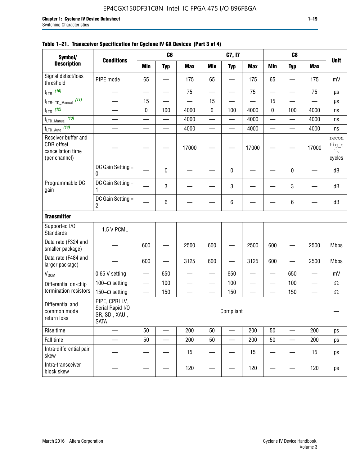## EP4CGX150DF31C8N Intel IC FPGA 475 I/O 896FBGA

|                                                                         | C <sub>6</sub><br>C7, I7<br>C <sub>8</sub><br>Symbol/<br><b>Conditions</b> |                          |                          |                          |                          |                          |                          |                          |                          |                          |                                |
|-------------------------------------------------------------------------|----------------------------------------------------------------------------|--------------------------|--------------------------|--------------------------|--------------------------|--------------------------|--------------------------|--------------------------|--------------------------|--------------------------|--------------------------------|
| <b>Description</b>                                                      |                                                                            | <b>Min</b>               | <b>Typ</b>               | <b>Max</b>               | <b>Min</b>               | <b>Typ</b>               | <b>Max</b>               | <b>Min</b>               | <b>Typ</b>               | <b>Max</b>               | <b>Unit</b>                    |
| Signal detect/loss<br>threshold                                         | PIPE mode                                                                  | 65                       |                          | 175                      | 65                       |                          | 175                      | 65                       |                          | 175                      | mV                             |
| $t_{LTR}$ (10)                                                          | $\overline{\phantom{0}}$                                                   | $\sim$                   | $\equiv$                 | 75                       | $\overline{\phantom{0}}$ | $\overline{\phantom{0}}$ | 75                       | $\overline{\phantom{0}}$ |                          | 75                       | μs                             |
| (11)<br>t <sub>LTR-LTD_Manual</sub>                                     |                                                                            | 15                       |                          |                          | 15                       |                          |                          | 15                       |                          |                          | μs                             |
| $t_{LTD}$ (12)                                                          |                                                                            | $\pmb{0}$                | 100                      | 4000                     | $\pmb{0}$                | 100                      | 4000                     | 0                        | 100                      | 4000                     | ns                             |
| $t_{\text{LTD\_Manual}}$ (13)                                           | $\overline{\phantom{0}}$                                                   | $\sim$                   | $\overline{\phantom{0}}$ | 4000                     | $\overline{\phantom{0}}$ | $\overline{\phantom{0}}$ | 4000                     | $\overline{\phantom{0}}$ | $\overline{\phantom{0}}$ | 4000                     | ns                             |
| $t_{LTD\_Auto}$ (14)                                                    | $\overline{\phantom{0}}$                                                   | $\equiv$                 | $\equiv$                 | 4000                     | $\overline{\phantom{0}}$ | $\overline{\phantom{0}}$ | 4000                     | $\overline{\phantom{0}}$ | $\overline{\phantom{0}}$ | 4000                     | ns                             |
| Receiver buffer and<br>CDR offset<br>cancellation time<br>(per channel) |                                                                            |                          |                          | 17000                    |                          |                          | 17000                    |                          |                          | 17000                    | recon<br>fig_c<br>1k<br>cycles |
|                                                                         | DC Gain Setting =<br>0                                                     |                          | 0                        |                          |                          | 0                        |                          |                          | 0                        |                          | dB                             |
| Programmable DC<br>gain                                                 | DC Gain Setting =<br>1                                                     |                          | 3                        |                          |                          | 3                        |                          |                          | 3                        |                          | dB                             |
|                                                                         | DC Gain Setting =<br>2                                                     |                          | 6                        |                          |                          | 6                        |                          |                          | 6                        |                          | dB                             |
| <b>Transmitter</b>                                                      |                                                                            |                          |                          |                          |                          |                          |                          |                          |                          |                          |                                |
| Supported I/O<br><b>Standards</b>                                       | 1.5 V PCML                                                                 |                          |                          |                          |                          |                          |                          |                          |                          |                          |                                |
| Data rate (F324 and<br>smaller package)                                 |                                                                            | 600                      |                          | 2500                     | 600                      |                          | 2500                     | 600                      |                          | 2500                     | <b>Mbps</b>                    |
| Data rate (F484 and<br>larger package)                                  |                                                                            | 600                      |                          | 3125                     | 600                      |                          | 3125                     | 600                      |                          | 2500                     | <b>Mbps</b>                    |
| $V_{OCM}$                                                               | 0.65 V setting                                                             | $\overline{\phantom{0}}$ | 650                      | $\overline{\phantom{0}}$ | $\overline{\phantom{0}}$ | 650                      | $\overline{\phantom{0}}$ | $\overline{\phantom{0}}$ | 650                      | —                        | mV                             |
| Differential on-chip                                                    | 100 $-\Omega$ setting                                                      | $\overline{\phantom{0}}$ | 100                      | $\overline{\phantom{0}}$ | $\overline{\phantom{0}}$ | 100                      | $\overline{\phantom{0}}$ | $\overline{\phantom{0}}$ | 100                      | $\overline{\phantom{0}}$ | $\Omega$                       |
| termination resistors                                                   | 150 $-\Omega$ setting                                                      |                          | 150                      |                          |                          | 150                      |                          |                          | 150                      |                          | $\Omega$                       |
| Differential and<br>common mode<br>return loss                          | PIPE, CPRI LV,<br>Serial Rapid I/O<br>SR, SDI, XAUI,<br><b>SATA</b>        |                          |                          |                          |                          | Compliant                |                          |                          |                          |                          | —                              |
| Rise time                                                               |                                                                            | 50                       |                          | 200                      | 50                       |                          | 200                      | 50                       |                          | 200                      | ps                             |
| Fall time                                                               |                                                                            | 50                       |                          | 200                      | 50                       | —                        | 200                      | 50                       |                          | 200                      | ps                             |
| Intra-differential pair<br>skew                                         |                                                                            |                          |                          | 15                       |                          |                          | 15                       |                          |                          | 15                       | ps                             |
| Intra-transceiver<br>block skew                                         |                                                                            |                          |                          | 120                      |                          |                          | 120                      |                          |                          | 120                      | ps                             |

## **Table 1–21. Transceiver Specification for Cyclone IV GX Devices (Part 3 of 4)**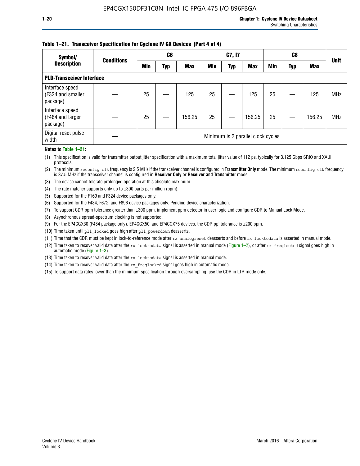### **Table 1–21. Transceiver Specification for Cyclone IV GX Devices (Part 4 of 4)**

| Symbol/                                          | <b>Conditions</b> | C <sub>6</sub>                     |     |            | C7, I7     |            |            |            |     | <b>Unit</b> |            |
|--------------------------------------------------|-------------------|------------------------------------|-----|------------|------------|------------|------------|------------|-----|-------------|------------|
| <b>Description</b>                               |                   | <b>Min</b>                         | Typ | <b>Max</b> | <b>Min</b> | <b>Typ</b> | <b>Max</b> | <b>Min</b> | Typ | <b>Max</b>  |            |
| <b>PLD-Transceiver Interface</b>                 |                   |                                    |     |            |            |            |            |            |     |             |            |
| Interface speed<br>(F324 and smaller<br>package) |                   | 25                                 |     | 125        | 25         |            | 125        | 25         |     | 125         | <b>MHz</b> |
| Interface speed<br>(F484 and larger<br>package)  |                   | 25                                 |     | 156.25     | 25         |            | 156.25     | 25         |     | 156.25      | <b>MHz</b> |
| Digital reset pulse<br>width                     |                   | Minimum is 2 parallel clock cycles |     |            |            |            |            |            |     |             |            |

#### **Notes to Table 1–21:**

(1) This specification is valid for transmitter output jitter specification with a maximum total jitter value of 112 ps, typically for 3.125 Gbps SRIO and XAUI protocols.

(2) The minimum reconfig\_clk frequency is 2.5 MHz if the transceiver channel is configured in **Transmitter Only** mode. The minimum reconfig\_clk frequency is 37.5 MHz if the transceiver channel is configured in **Receiver Only** or **Receiver and Transmitter** mode.

(3) The device cannot tolerate prolonged operation at this absolute maximum.

- (4) The rate matcher supports only up to  $\pm 300$  parts per million (ppm).
- (5) Supported for the F169 and F324 device packages only.
- (6) Supported for the F484, F672, and F896 device packages only. Pending device characterization.
- (7) To support CDR ppm tolerance greater than ±300 ppm, implement ppm detector in user logic and configure CDR to Manual Lock Mode.
- (8) Asynchronous spread-spectrum clocking is not supported.
- (9) For the EP4CGX30 (F484 package only), EP4CGX50, and EP4CGX75 devices, the CDR ppl tolerance is ±200 ppm.
- (10) Time taken until pll\_locked goes high after pll\_powerdown deasserts.
- (11) Time that the CDR must be kept in lock-to-reference mode after rx analogreset deasserts and before rx locktodata is asserted in manual mode.

(12) Time taken to recover valid data after the rx locktodata signal is asserted in manual mode (Figure 1–2), or after rx freqlocked signal goes high in automatic mode (Figure 1–3).

(13) Time taken to recover valid data after the rx locktodata signal is asserted in manual mode.

- (14) Time taken to recover valid data after the rx freqlocked signal goes high in automatic mode.
- (15) To support data rates lower than the minimum specification through oversampling, use the CDR in LTR mode only.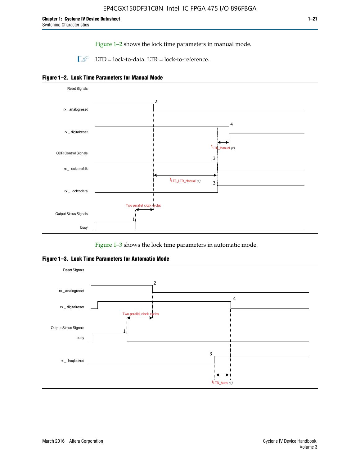Figure 1–2 shows the lock time parameters in manual mode.

 $\Box$  LTD = lock-to-data. LTR = lock-to-reference.





Figure 1–3 shows the lock time parameters in automatic mode.

**Figure 1–3. Lock Time Parameters for Automatic Mode**

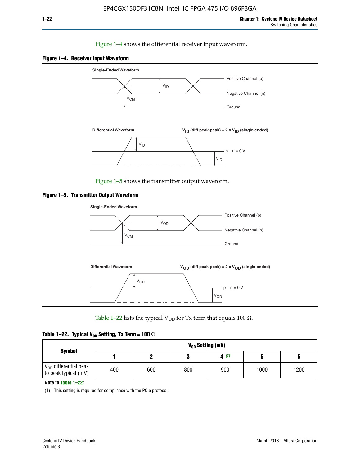### Figure 1–4 shows the differential receiver input waveform.





Figure 1–5 shows the transmitter output waveform.





Table 1–22 lists the typical V<sub>OD</sub> for Tx term that equals 100  $\Omega$ .

| Table 1–22. Typical V <sub>0D</sub> Setting, Tx Term = 100 $\Omega$ |  |  |  |  |  |  |  |
|---------------------------------------------------------------------|--|--|--|--|--|--|--|
|---------------------------------------------------------------------|--|--|--|--|--|--|--|

|                                                        | V <sub>on</sub> Setting (mV) |     |     |      |      |      |  |  |  |  |
|--------------------------------------------------------|------------------------------|-----|-----|------|------|------|--|--|--|--|
| <b>Symbol</b>                                          |                              |     |     | 4(1) |      |      |  |  |  |  |
| $\rm V_{OD}$ differential peak<br>to peak typical (mV) | 400                          | 600 | 800 | 900  | 1000 | 1200 |  |  |  |  |

**Note to Table 1–22:**

(1) This setting is required for compliance with the PCIe protocol.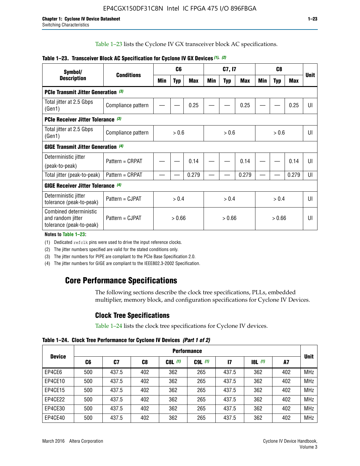Table 1–23 lists the Cyclone IV GX transceiver block AC specifications.

| Symbol/                                                                 | <b>Conditions</b>  |       | C <sub>6</sub> |            | C7, I7 |            |        | C <sub>8</sub> |            |                | <b>Unit</b> |
|-------------------------------------------------------------------------|--------------------|-------|----------------|------------|--------|------------|--------|----------------|------------|----------------|-------------|
| <b>Description</b>                                                      |                    | Min   | <b>Typ</b>     | <b>Max</b> | Min    | <b>Typ</b> | Max    | Min            | <b>Typ</b> | <b>Max</b>     |             |
| <b>PCIe Transmit Jitter Generation (3)</b>                              |                    |       |                |            |        |            |        |                |            |                |             |
| Total jitter at 2.5 Gbps<br>(Gen1)                                      | Compliance pattern |       |                | 0.25       |        |            | 0.25   |                |            | 0.25           | UI          |
| <b>PCIe Receiver Jitter Tolerance (3)</b>                               |                    |       |                |            |        |            |        |                |            |                |             |
| Total jitter at 2.5 Gbps<br>(Gen1)                                      | Compliance pattern | > 0.6 |                | > 0.6      |        | > 0.6      |        | UI             |            |                |             |
| <b>GIGE Transmit Jitter Generation (4)</b>                              |                    |       |                |            |        |            |        |                |            |                |             |
| Deterministic jitter                                                    | Pattern = CRPAT    |       |                | 0.14       |        |            | 0.14   |                |            | 0.14           | UI          |
| (peak-to-peak)                                                          |                    |       |                |            |        |            |        |                |            |                |             |
| Total jitter (peak-to-peak)                                             | Pattern = CRPAT    |       |                | 0.279      |        |            | 0.279  |                |            | 0.279          | UI          |
| <b>GIGE Receiver Jitter Tolerance</b> (4)                               |                    |       |                |            |        |            |        |                |            |                |             |
| Deterministic jitter<br>tolerance (peak-to-peak)                        | Pattern = CJPAT    | > 0.4 |                | > 0.4      |        |            | > 0.4  |                |            | $\mathsf{III}$ |             |
| Combined deterministic<br>and random jitter<br>tolerance (peak-to-peak) | Pattern = CJPAT    |       | > 0.66         |            | > 0.66 |            | > 0.66 |                | UI         |                |             |

### **Table 1–23. Transceiver Block AC Specification for Cyclone IV GX Devices** *(1)***,** *(2)*

**Notes to Table 1–23:**

(1) Dedicated refclk pins were used to drive the input reference clocks.

(2) The jitter numbers specified are valid for the stated conditions only.

(3) The jitter numbers for PIPE are compliant to the PCIe Base Specification 2.0.

(4) The jitter numbers for GIGE are compliant to the IEEE802.3-2002 Specification.

## **Core Performance Specifications**

The following sections describe the clock tree specifications, PLLs, embedded multiplier, memory block, and configuration specifications for Cyclone IV Devices.

## **Clock Tree Specifications**

Table 1–24 lists the clock tree specifications for Cyclone IV devices.

**Table 1–24. Clock Tree Performance for Cyclone IV Devices** *(Part 1 of 2)*

|               | <b>Performance</b> |       |     |           |             |       |                  |     |             |  |
|---------------|--------------------|-------|-----|-----------|-------------|-------|------------------|-----|-------------|--|
| <b>Device</b> | C6                 | C7    | C8  | $C8L$ (1) | $C9L$ $(1)$ | 17    | <b>18L</b> $(1)$ | A7  | <b>Unit</b> |  |
| EP4CE6        | 500                | 437.5 | 402 | 362       | 265         | 437.5 | 362              | 402 | <b>MHz</b>  |  |
| EP4CE10       | 500                | 437.5 | 402 | 362       | 265         | 437.5 | 362              | 402 | <b>MHz</b>  |  |
| EP4CE15       | 500                | 437.5 | 402 | 362       | 265         | 437.5 | 362              | 402 | <b>MHz</b>  |  |
| EP4CE22       | 500                | 437.5 | 402 | 362       | 265         | 437.5 | 362              | 402 | <b>MHz</b>  |  |
| EP4CE30       | 500                | 437.5 | 402 | 362       | 265         | 437.5 | 362              | 402 | <b>MHz</b>  |  |
| EP4CE40       | 500                | 437.5 | 402 | 362       | 265         | 437.5 | 362              | 402 | <b>MHz</b>  |  |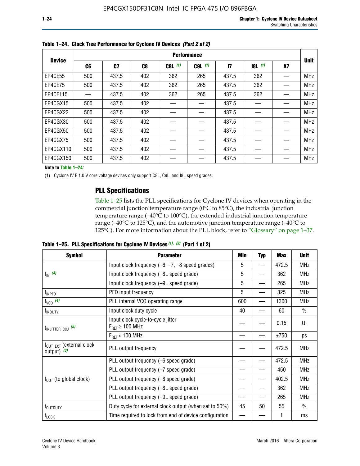|               | <b>Performance</b> |       |                |           |             |              |       |    |             |  |
|---------------|--------------------|-------|----------------|-----------|-------------|--------------|-------|----|-------------|--|
| <b>Device</b> | C6                 | C7    | C <sub>8</sub> | $C8L$ (1) | $C9L$ $(1)$ | $\mathbf{I}$ | 8L(1) | A7 | <b>Unit</b> |  |
| EP4CE55       | 500                | 437.5 | 402            | 362       | 265         | 437.5        | 362   |    | <b>MHz</b>  |  |
| EP4CE75       | 500                | 437.5 | 402            | 362       | 265         | 437.5        | 362   |    | <b>MHz</b>  |  |
| EP4CE115      |                    | 437.5 | 402            | 362       | 265         | 437.5        | 362   |    | <b>MHz</b>  |  |
| EP4CGX15      | 500                | 437.5 | 402            |           |             | 437.5        |       |    | <b>MHz</b>  |  |
| EP4CGX22      | 500                | 437.5 | 402            |           |             | 437.5        |       |    | <b>MHz</b>  |  |
| EP4CGX30      | 500                | 437.5 | 402            |           |             | 437.5        |       |    | <b>MHz</b>  |  |
| EP4CGX50      | 500                | 437.5 | 402            |           |             | 437.5        |       |    | <b>MHz</b>  |  |
| EP4CGX75      | 500                | 437.5 | 402            |           |             | 437.5        |       |    | <b>MHz</b>  |  |
| EP4CGX110     | 500                | 437.5 | 402            |           |             | 437.5        |       |    | <b>MHz</b>  |  |
| EP4CGX150     | 500                | 437.5 | 402            |           |             | 437.5        |       |    | <b>MHz</b>  |  |

**Table 1–24. Clock Tree Performance for Cyclone IV Devices** *(Part 2 of 2)*

**Note to Table 1–24:**

(1) Cyclone IV E 1.0 V core voltage devices only support C8L, C9L, and I8L speed grades.

## **PLL Specifications**

Table 1–25 lists the PLL specifications for Cyclone IV devices when operating in the commercial junction temperature range (0°C to 85°C), the industrial junction temperature range (–40°C to 100°C), the extended industrial junction temperature range (–40°C to 125°C), and the automotive junction temperature range (–40°C to 125°C). For more information about the PLL block, refer to "Glossary" on page 1–37.

|  |  | Table 1–25. PLL Specifications for Cyclone IV Devices $(1)$ , $(2)$ (Part 1 of 2) |  |
|--|--|-----------------------------------------------------------------------------------|--|
|--|--|-----------------------------------------------------------------------------------|--|

| <b>Symbol</b>                                          | <b>Parameter</b>                                            | Min                                                                                                                                                           | <b>Typ</b> | Max   | <b>Unit</b>   |
|--------------------------------------------------------|-------------------------------------------------------------|---------------------------------------------------------------------------------------------------------------------------------------------------------------|------------|-------|---------------|
|                                                        | Input clock frequency $(-6, -7, -8)$ speed grades)          | 5                                                                                                                                                             | —          | 472.5 | <b>MHz</b>    |
| $f_{\text{IN}}$ (3)                                    | Input clock frequency (-8L speed grade)                     | 5                                                                                                                                                             |            | 362   | <b>MHz</b>    |
|                                                        | Input clock frequency (-9L speed grade)                     | 5<br>265<br>5<br>325<br>600<br>1300<br>$\overline{\phantom{0}}$<br>40<br>60<br>0.15<br>±750<br>472.5<br>472.5<br>450<br>402.5<br>362<br>265<br>55<br>45<br>50 | <b>MHz</b> |       |               |
| f <sub>INPFD</sub>                                     | PFD input frequency                                         |                                                                                                                                                               |            |       | <b>MHz</b>    |
| $f_{VCO}$ (4)                                          | PLL internal VCO operating range                            |                                                                                                                                                               |            |       | <b>MHz</b>    |
| f <sub>INDUTY</sub>                                    | Input clock duty cycle                                      |                                                                                                                                                               |            |       | $\frac{0}{0}$ |
| $t_{\text{INJITTER\_CCJ}}$ (5)                         | Input clock cycle-to-cycle jitter<br>$F_{REF} \geq 100$ MHz |                                                                                                                                                               |            |       | UI            |
|                                                        | $F_{RFF}$ < 100 MHz                                         |                                                                                                                                                               | ps         |       |               |
| $f_{\text{OUT\_EXT}}$ (external clock<br>output) $(3)$ | PLL output frequency                                        |                                                                                                                                                               |            |       | <b>MHz</b>    |
|                                                        | PLL output frequency (-6 speed grade)                       |                                                                                                                                                               |            |       | <b>MHz</b>    |
|                                                        | PLL output frequency (-7 speed grade)                       |                                                                                                                                                               |            |       | <b>MHz</b>    |
| $f_{OUT}$ (to global clock)                            | PLL output frequency (-8 speed grade)                       |                                                                                                                                                               |            |       | <b>MHz</b>    |
|                                                        | PLL output frequency (-8L speed grade)                      |                                                                                                                                                               |            |       | <b>MHz</b>    |
|                                                        | PLL output frequency (-9L speed grade)                      |                                                                                                                                                               |            |       | <b>MHz</b>    |
| t <sub>outputy</sub>                                   | Duty cycle for external clock output (when set to 50%)      |                                                                                                                                                               |            |       | $\frac{0}{0}$ |
| $t_{\text{LOCK}}$                                      | Time required to lock from end of device configuration      |                                                                                                                                                               |            |       | ms            |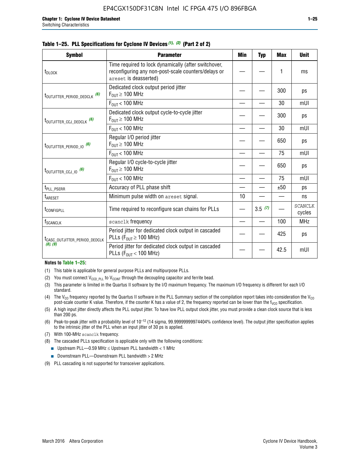**Symbol Parameter Min Typ Max Unit**

Time required to lock dynamically (after switchover, reconfiguring any non-post-scale counters/delays or

t<sub>DLOCK</sub>

| t <sub>outjitter_period_dedclk</sub> (6)  | Dedicated clock output period jitter<br>$F_{OUT} \geq 100$ MHz                        |    |        | 300  | ps                       |
|-------------------------------------------|---------------------------------------------------------------------------------------|----|--------|------|--------------------------|
|                                           | $F_{OIII}$ < 100 MHz                                                                  |    |        | 30   | mUI                      |
| t <sub>outjitter_ccj_dedclk</sub> (6)     | Dedicated clock output cycle-to-cycle jitter<br>$F_{OUT} \geq 100$ MHz                |    |        | 300  | ps                       |
|                                           | $F_{OUT}$ < 100 MHz                                                                   |    |        | 30   | mUI                      |
| t <sub>outjitter_period_io</sub> (6)      | Regular I/O period jitter<br>$F_{OUT} \geq 100$ MHz                                   |    |        | 650  | ps                       |
|                                           | $F_{OUT}$ < 100 MHz                                                                   |    |        | 75   | mUI                      |
| t <sub>outjitter_ccj_io</sub> (6)         | Regular I/O cycle-to-cycle jitter<br>$F_{\text{OUT}} \geq 100 \text{ MHz}$            |    |        | 650  | ps                       |
|                                           | $F_{\text{OUT}}$ < 100 MHz                                                            |    |        | 75   | mUI                      |
| t <sub>PLL_PSERR</sub>                    | Accuracy of PLL phase shift                                                           |    |        | ±50  | ps                       |
| t <sub>ARESET</sub>                       | Minimum pulse width on areset signal.                                                 | 10 |        |      | ns                       |
| t <sub>configpll</sub>                    | Time required to reconfigure scan chains for PLLs                                     |    | 3.5(7) |      | <b>SCANCLK</b><br>cycles |
| f <sub>SCANCLK</sub>                      | scanclk frequency                                                                     |    |        | 100  | <b>MHz</b>               |
| t <sub>CASC_OUTJITTER_PERIOD_DEDCLK</sub> | Period jitter for dedicated clock output in cascaded<br>PLLs ( $F_{OUT} \ge 100$ MHz) |    |        | 425  | ps                       |
| (8), (9)                                  | Period jitter for dedicated clock output in cascaded<br>PLLs ( $F_{OUT}$ < 100 MHz)   |    |        | 42.5 | mUI                      |
| Notes to Table 1-25:                      |                                                                                       |    |        |      |                          |
|                                           | (1) This table is applicable for general purpose PLLs and multipurpose PLLs.          |    |        |      |                          |
|                                           |                                                                                       |    |        |      |                          |

### **Table 1–25. PLL Specifications for Cyclone IV Devices** *(1), (2)* **(Part 2 of 2)**

areset is deasserted)

 $(1)$  This table is applicable for (2) You must connect  $V_{CCD-PL}$  to  $V_{CCINT}$  through the decoupling capacitor and ferrite bead.

- (3) This parameter is limited in the Quartus II software by the I/O maximum frequency. The maximum I/O frequency is different for each I/O standard.
- (4) The V<sub>CO</sub> frequency reported by the Quartus II software in the PLL Summary section of the compilation report takes into consideration the V<sub>CO</sub> post-scale counter K value. Therefore, if the counter K has a value of 2, the frequency reported can be lower than the f<sub>VCO</sub> specification.
- (5) A high input jitter directly affects the PLL output jitter. To have low PLL output clock jitter, you must provide a clean clock source that is less than 200 ps.
- (6) Peak-to-peak jitter with a probability level of 10–12 (14 sigma, 99.99999999974404% confidence level). The output jitter specification applies to the intrinsic jitter of the PLL when an input jitter of 30 ps is applied.
- (7) With 100-MHz scanclk frequency.
- (8) The cascaded PLLs specification is applicable only with the following conditions:
	- **■** Upstream PLL—0.59 MHz  $\leq$  Upstream PLL bandwidth  $<$  1 MHz
	- Downstream PLL—Downstream PLL bandwidth > 2 MHz
- (9) PLL cascading is not supported for transceiver applications.

— | — | 1 | ms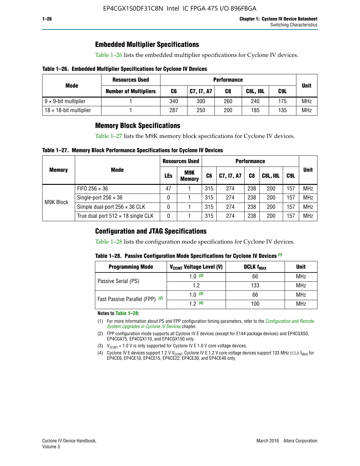## **Embedded Multiplier Specifications**

Table 1–26 lists the embedded multiplier specifications for Cyclone IV devices.

### **Table 1–26. Embedded Multiplier Specifications for Cyclone IV Devices**

| Mode                           | <b>Resources Used</b>        | <b>Performance</b> |            |     |                 |     |             |
|--------------------------------|------------------------------|--------------------|------------|-----|-----------------|-----|-------------|
|                                | <b>Number of Multipliers</b> | C6                 | C7, I7, A7 | C8  | <b>C8L, I8L</b> | C9L | <b>Unit</b> |
| $9 \times 9$ -bit multiplier   |                              | 340                | 300        | 260 | 240             | 175 | <b>MHz</b>  |
| $18 \times 18$ -bit multiplier |                              | 287                | 250        | 200 | 185             | 135 | <b>MHz</b>  |

## **Memory Block Specifications**

Table 1–27 lists the M9K memory block specifications for Cyclone IV devices.

### **Table 1–27. Memory Block Performance Specifications for Cyclone IV Devices**

|               |                                           | <b>Resources Used</b> |                             | <b>Performance</b> |            |                |                 |     |             |  |
|---------------|-------------------------------------------|-----------------------|-----------------------------|--------------------|------------|----------------|-----------------|-----|-------------|--|
| <b>Memory</b> | <b>Mode</b>                               | LEs                   | <b>M9K</b><br><b>Memory</b> | C <sub>6</sub>     | C7, I7, A7 | C <sub>8</sub> | <b>C8L, I8L</b> | C9L | <b>Unit</b> |  |
| M9K Block     | FIFO 256 $\times$ 36                      | 47                    |                             | 315                | 274        | 238            | 200             | 157 | <b>MHz</b>  |  |
|               | Single-port $256 \times 36$               | 0                     |                             | 315                | 274        | 238            | 200             | 157 | <b>MHz</b>  |  |
|               | Simple dual-port $256 \times 36$ CLK      | 0                     |                             | 315                | 274        | 238            | 200             | 157 | <b>MHz</b>  |  |
|               | True dual port $512 \times 18$ single CLK | 0                     |                             | 315                | 274        | 238            | 200             | 157 | <b>MHz</b>  |  |

## **Configuration and JTAG Specifications**

Table 1–28 lists the configuration mode specifications for Cyclone IV devices.

### **Table 1–28. Passive Configuration Mode Specifications for Cyclone IV Devices** *(1)*

| <b>Programming Mode</b>         | V <sub>CCINT</sub> Voltage Level (V) | <b>DCLK f<sub>MAX</sub></b> | <b>Unit</b> |
|---------------------------------|--------------------------------------|-----------------------------|-------------|
| Passive Serial (PS)             | 1.0 $(3)$                            | 66                          | MHz         |
|                                 | 1.2                                  | 133                         | MHz         |
| Fast Passive Parallel (FPP) (2) | 1.0 $(3)$                            | 66                          | <b>MHz</b>  |
|                                 | 12(4)                                | 100                         | <b>MHz</b>  |

#### **Notes to Table 1–28:**

- (1) For more information about PS and FPP configuration timing parameters, refer to the *[Configuration and Remote](http://www.altera.com/literature/hb/cyclone-iv/cyiv-51008.pdf)  [System Upgrades in Cyclone IV Devices](http://www.altera.com/literature/hb/cyclone-iv/cyiv-51008.pdf)* chapter.
- (2) FPP configuration mode supports all Cyclone IV E devices (except for E144 package devices) and EP4CGX50, EP4CGX75, EP4CGX110, and EP4CGX150 only.
- (3)  $V_{CCMT}$  = 1.0 V is only supported for Cyclone IV E 1.0 V core voltage devices.
- (4) Cyclone IV E devices support 1.2 V V<sub>CCINT</sub>. Cyclone IV E 1.2 V core voltage devices support 133 MHz DCLK f<sub>MAX</sub> for EP4CE6, EP4CE10, EP4CE15, EP4CE22, EP4CE30, and EP4CE40 only.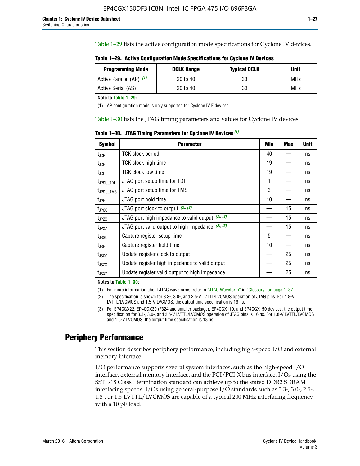Table 1–29 lists the active configuration mode specifications for Cyclone IV devices.

**Table 1–29. Active Configuration Mode Specifications for Cyclone IV Devices**

| <b>Programming Mode</b>  | <b>DCLK Range</b> | <b>Typical DCLK</b> | <b>Unit</b> |
|--------------------------|-------------------|---------------------|-------------|
| Active Parallel (AP) (1) | 20 to 40          | 33                  | MHz         |
| Active Serial (AS)       | 20 to 40          | 33                  | MHz         |

**Note to Table 1–29:**

(1) AP configuration mode is only supported for Cyclone IV E devices.

Table 1–30 lists the JTAG timing parameters and values for Cyclone IV devices.

**Table 1–30. JTAG Timing Parameters for Cyclone IV Devices** *(1)*

| Symbol                       | <b>Parameter</b>                                       | <b>Min</b> | <b>Max</b> | <b>Unit</b> |
|------------------------------|--------------------------------------------------------|------------|------------|-------------|
| t <sub>JCP</sub>             | <b>TCK clock period</b>                                | 40         |            | ns          |
| t <sub>JCH</sub>             | <b>TCK clock high time</b>                             | 19         |            | ns          |
| $t_{JCL}$                    | TCK clock low time                                     | 19         |            | ns          |
| t <sub>JPSU_TDI</sub>        | JTAG port setup time for TDI                           | 1          |            | ns          |
| t <sub>JPSU_TMS</sub>        | JTAG port setup time for TMS                           | 3          |            | ns          |
| t <sub>JPH</sub>             | JTAG port hold time                                    | 10         |            | ns          |
| t <sub>JPCO</sub>            | JTAG port clock to output $(2)$ , $(3)$                |            | 15         | ns          |
| t <sub>JPZX</sub>            | JTAG port high impedance to valid output $(2)$ , $(3)$ |            | 15         | ns          |
| t <sub>JPXZ</sub>            | JTAG port valid output to high impedance $(2)$ , $(3)$ |            | 15         | ns          |
| ${\rm t}_{\rm JSSU}$         | Capture register setup time                            | 5          |            | ns          |
| $\mathsf{t}_{\mathsf{JSH}}$  | Capture register hold time                             | 10         |            | ns          |
| t <sub>usco</sub>            | Update register clock to output                        |            | 25         | ns          |
| $t_{\footnotesize \rm JSZX}$ | Update register high impedance to valid output         |            | 25         | ns          |
| t <sub>JSXZ</sub>            | Update register valid output to high impedance         |            | 25         | ns          |

**Notes to Table 1–30:**

(1) For more information about JTAG waveforms, refer to "JTAG Waveform" in "Glossary" on page 1–37.

(2) The specification is shown for 3.3-, 3.0-, and 2.5-V LVTTL/LVCMOS operation of JTAG pins. For 1.8-V LVTTL/LVCMOS and 1.5-V LVCMOS, the output time specification is 16 ns.

(3) For EP4CGX22, EP4CGX30 (F324 and smaller package), EP4CGX110, and EP4CGX150 devices, the output time specification for 3.3-, 3.0-, and 2.5-V LVTTL/LVCMOS operation of JTAG pins is 16 ns. For 1.8-V LVTTL/LVCMOS and 1.5-V LVCMOS, the output time specification is 18 ns.

## **Periphery Performance**

This section describes periphery performance, including high-speed I/O and external memory interface.

I/O performance supports several system interfaces, such as the high-speed I/O interface, external memory interface, and the PCI/PCI-X bus interface. I/Os using the SSTL-18 Class I termination standard can achieve up to the stated DDR2 SDRAM interfacing speeds. I/Os using general-purpose I/O standards such as 3.3-, 3.0-, 2.5-, 1.8-, or 1.5-LVTTL/LVCMOS are capable of a typical 200 MHz interfacing frequency with a 10 pF load.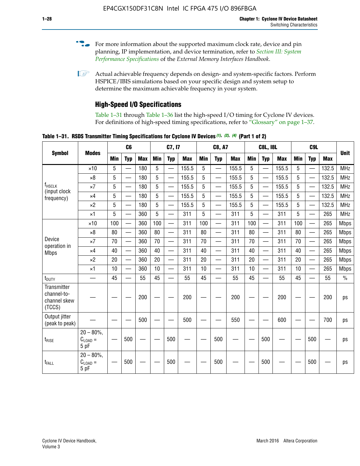- For more information about the supported maximum clock rate, device and pin planning, IP implementation, and device termination, refer to *[Section III: System](http://www.altera.com/literature/hb/external-memory/emi_intro_specs.pdf)  [Performance Specifications](http://www.altera.com/literature/hb/external-memory/emi_intro_specs.pdf)* of the *External Memory Interfaces Handbook*.
- **1 Actual achievable frequency depends on design- and system-specific factors. Perform** HSPICE/IBIS simulations based on your specific design and system setup to determine the maximum achievable frequency in your system.

## **High-Speed I/O Specifications**

Table 1–31 through Table 1–36 list the high-speed I/O timing for Cyclone IV devices. For definitions of high-speed timing specifications, refer to "Glossary" on page 1–37.

**Table 1–31. RSDS Transmitter Timing Specifications for Cyclone IV Devices** *(1)***,** *(2)***,** *(4)* **(Part 1 of 2)**

|                                                      |                                     |     | C6                       |            |            | C7, I7                   |            |                 | <b>C8, A7</b>            |            |            | <b>C8L, I8L</b>          |            |     | C <sub>9</sub> L         |            |             |
|------------------------------------------------------|-------------------------------------|-----|--------------------------|------------|------------|--------------------------|------------|-----------------|--------------------------|------------|------------|--------------------------|------------|-----|--------------------------|------------|-------------|
| <b>Symbol</b>                                        | <b>Modes</b>                        | Min | <b>Typ</b>               | <b>Max</b> | <b>Min</b> | <b>Typ</b>               | <b>Max</b> | <b>Min</b>      | <b>Typ</b>               | <b>Max</b> | <b>Min</b> | <b>Typ</b>               | <b>Max</b> | Min | <b>Typ</b>               | <b>Max</b> | <b>Unit</b> |
|                                                      | $\times$ 10                         | 5   | $\overline{\phantom{0}}$ | 180        | 5          | —                        | 155.5      | 5               | $\overline{\phantom{0}}$ | 155.5      | 5          |                          | 155.5      | 5   |                          | 132.5      | <b>MHz</b>  |
|                                                      | $\times 8$                          | 5   |                          | 180        | 5          |                          | 155.5      | $5\phantom{.0}$ | $\overline{\phantom{0}}$ | 155.5      | 5          |                          | 155.5      | 5   |                          | 132.5      | <b>MHz</b>  |
| f <sub>HSCLK</sub><br>(input clock                   | $\times 7$                          | 5   | $\overline{\phantom{0}}$ | 180        | 5          |                          | 155.5      | 5               | $\overline{\phantom{0}}$ | 155.5      | 5          |                          | 155.5      | 5   |                          | 132.5      | <b>MHz</b>  |
| frequency)                                           | $\times$ 4                          | 5   | $\overline{\phantom{0}}$ | 180        | 5          | $\overline{\phantom{0}}$ | 155.5      | 5               | $\equiv$                 | 155.5      | 5          | $\overline{\phantom{0}}$ | 155.5      | 5   | $\overline{\phantom{0}}$ | 132.5      | <b>MHz</b>  |
|                                                      | $\times 2$                          | 5   | $\equiv$                 | 180        | 5          |                          | 155.5      | 5               | $\equiv$                 | 155.5      | 5          | $\equiv$                 | 155.5      | 5   | $\overline{\phantom{0}}$ | 132.5      | <b>MHz</b>  |
|                                                      | $\times$ 1                          | 5   |                          | 360        | 5          |                          | 311        | 5               | $\overline{\phantom{0}}$ | 311        | 5          | $\overline{\phantom{0}}$ | 311        | 5   |                          | 265        | <b>MHz</b>  |
|                                                      | $\times$ 10                         | 100 | $\overline{\phantom{0}}$ | 360        | 100        |                          | 311        | 100             | $\overline{\phantom{0}}$ | 311        | 100        | $\overline{\phantom{0}}$ | 311        | 100 |                          | 265        | <b>Mbps</b> |
|                                                      | $\times 8$                          | 80  |                          | 360        | 80         |                          | 311        | 80              | $\overline{\phantom{0}}$ | 311        | 80         | $\overline{\phantom{0}}$ | 311        | 80  | $\overline{\phantom{0}}$ | 265        | <b>Mbps</b> |
| Device<br>operation in                               | $\times 7$                          | 70  |                          | 360        | 70         |                          | 311        | 70              | $\overline{\phantom{0}}$ | 311        | 70         | $\overline{\phantom{0}}$ | 311        | 70  | $\overline{\phantom{0}}$ | 265        | <b>Mbps</b> |
| <b>Mbps</b>                                          | $\times$ 4                          | 40  |                          | 360        | 40         |                          | 311        | 40              |                          | 311        | 40         |                          | 311        | 40  | $\overline{\phantom{0}}$ | 265        | <b>Mbps</b> |
|                                                      | $\times 2$                          | 20  |                          | 360        | 20         | $\equiv$                 | 311        | 20              | $\overline{\phantom{0}}$ | 311        | 20         |                          | 311        | 20  | $\equiv$                 | 265        | <b>Mbps</b> |
|                                                      | $\times$ 1                          | 10  |                          | 360        | 10         |                          | 311        | 10              |                          | 311        | 10         |                          | 311        | 10  | $\overline{\phantom{0}}$ | 265        | <b>Mbps</b> |
| t <sub>DUTY</sub>                                    | —                                   | 45  | $\overline{\phantom{0}}$ | 55         | 45         |                          | 55         | 45              | $\overline{\phantom{0}}$ | 55         | 45         |                          | 55         | 45  |                          | 55         | $\%$        |
| Transmitter<br>channel-to-<br>channel skew<br>(TCCS) |                                     |     |                          | 200        |            |                          | 200        |                 |                          | 200        |            |                          | 200        |     |                          | 200        | ps          |
| Output jitter<br>(peak to peak)                      |                                     |     |                          | 500        |            |                          | 500        |                 |                          | 550        |            |                          | 600        |     |                          | 700        | ps          |
| $t_{\text{RISE}}$                                    | $20 - 80\%$<br>$C_{LOAD} =$<br>5 pF |     | 500                      |            |            | 500                      |            |                 | 500                      |            |            | 500                      |            |     | 500                      |            | ps          |
| t <sub>FALL</sub>                                    | $20 - 80\%$<br>$C_{LOAD} =$<br>5 pF |     | 500                      |            |            | 500                      |            |                 | 500                      |            |            | 500                      |            |     | 500                      |            | ps          |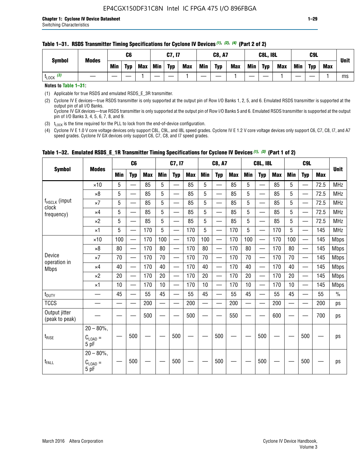| <b>Symbol</b>         | <b>Modes</b> |     | C6         |     |            | C7, I7     |            |            | <b>C8, A7</b> |            |            | <b>C8L, I8L</b> |            |     | C <sub>9</sub> L |     | <b>Unit</b> |
|-----------------------|--------------|-----|------------|-----|------------|------------|------------|------------|---------------|------------|------------|-----------------|------------|-----|------------------|-----|-------------|
|                       |              | Min | <b>Typ</b> | Max | <b>Min</b> | <b>Typ</b> | <b>Max</b> | <b>Min</b> | <b>Typ</b>    | <b>Max</b> | <b>Min</b> | <b>Typ</b>      | <b>Max</b> | Min | <b>Typ</b>       | Max |             |
| $t_{\text{LOCK}}$ (3) |              |     |            |     |            |            |            |            |               |            |            |                 |            |     |                  |     | ms          |

### **Table 1–31. RSDS Transmitter Timing Specifications for Cyclone IV Devices** *(1)***,** *(2)***,** *(4)* **(Part 2 of 2)**

**Notes to Table 1–31:**

(1) Applicable for true RSDS and emulated RSDS\_E\_3R transmitter.

(2) Cyclone IV E devices—true RSDS transmitter is only supported at the output pin of Row I/O Banks 1, 2, 5, and 6. Emulated RSDS transmitter is supported at the output pin of all I/O Banks. Cyclone IV GX devices—true RSDS transmitter is only supported at the output pin of Row I/O Banks 5 and 6. Emulated RSDS transmitter is supported at the output

pin of I/O Banks 3, 4, 5, 6, 7, 8, and 9.

(3)  $t_{\text{LOCK}}$  is the time required for the PLL to lock from the end-of-device configuration.

(4) Cyclone IV E 1.0 V core voltage devices only support C8L, C9L, and I8L speed grades. Cyclone IV E 1.2 V core voltage devices only support C6, C7, C8, I7, and A7 speed grades. Cyclone IV GX devices only support C6, C7, C8, and I7 speed grades.

|                                 |                                              |            | C <sub>6</sub>                   |            |                          | C7, I7                   |            |                          | <b>C8, A7</b>            |            |            | <b>C8L, I8L</b>          |            |            | C <sub>9</sub> L         |            |               |
|---------------------------------|----------------------------------------------|------------|----------------------------------|------------|--------------------------|--------------------------|------------|--------------------------|--------------------------|------------|------------|--------------------------|------------|------------|--------------------------|------------|---------------|
| <b>Symbol</b>                   | <b>Modes</b>                                 | <b>Min</b> | <b>Typ</b>                       | <b>Max</b> | <b>Min</b>               | <b>Typ</b>               | <b>Max</b> | <b>Min</b>               | <b>Typ</b>               | <b>Max</b> | <b>Min</b> | <b>Typ</b>               | <b>Max</b> | <b>Min</b> | <b>Typ</b>               | <b>Max</b> | <b>Unit</b>   |
|                                 | $\times$ 10                                  | 5          | $\equiv$                         | 85         | 5                        | $\overline{\phantom{0}}$ | 85         | 5                        | $\overline{\phantom{0}}$ | 85         | 5          | $\overline{\phantom{0}}$ | 85         | 5          |                          | 72.5       | <b>MHz</b>    |
|                                 | $\times 8$                                   | 5          | $\equiv$                         | 85         | 5                        |                          | 85         | 5                        | —                        | 85         | 5          | $\overline{\phantom{0}}$ | 85         | 5          |                          | 72.5       | <b>MHz</b>    |
| $f_{HSCLK}$ (input              | $\times 7$                                   | 5          | $\equiv$                         | 85         | 5                        |                          | 85         | 5                        | $\overline{\phantom{0}}$ | 85         | 5          | $\equiv$                 | 85         | 5          |                          | 72.5       | <b>MHz</b>    |
| clock<br>frequency)             | $\times$ 4                                   | 5          | $\overline{\phantom{0}}$         | 85         | 5                        | $\overline{\phantom{0}}$ | 85         | 5                        | —                        | 85         | 5          | —                        | 85         | 5          | —                        | 72.5       | <b>MHz</b>    |
|                                 | $\times 2$                                   | 5          | $\overline{\phantom{0}}$         | 85         | 5                        | $\overline{\phantom{0}}$ | 85         | 5                        | $\overline{\phantom{0}}$ | 85         | 5          | $\overline{\phantom{0}}$ | 85         | 5          |                          | 72.5       | <b>MHz</b>    |
|                                 | $\times 1$                                   | 5          | $\overline{\phantom{0}}$         | 170        | 5                        | —<br>—                   | 170        | 5                        | $\overline{\phantom{0}}$ | 170        | 5          | $\overline{\phantom{0}}$ | 170        | 5          | $\overline{\phantom{0}}$ | 145        | <b>MHz</b>    |
|                                 | $\times$ 10                                  | 100        | $\overline{\phantom{0}}$         | 170        | 100                      | $\overline{\phantom{0}}$ | 170        | 100                      | $\overline{\phantom{0}}$ | 170        | 100        |                          | 170        | 100        |                          | 145        | <b>Mbps</b>   |
|                                 | $\times 8$                                   | 80         | $\equiv$                         | 170        | 80                       |                          | 170        | 80                       | $\overline{\phantom{0}}$ | 170        | 80         | $\qquad \qquad$          | 170        | 80         |                          | 145        | <b>Mbps</b>   |
| Device                          | $\times 7$                                   | 70         | $\overline{\phantom{0}}$         | 170        | 70                       |                          | 170        | 70                       | —                        | 170        | 70         | $\overline{\phantom{0}}$ | 170        | 70         |                          | 145        | <b>Mbps</b>   |
| operation in<br><b>Mbps</b>     | $\times$ 4                                   | 40         | $\overbrace{\phantom{12322111}}$ | 170        | 40                       | —                        | 170        | 40                       | $\overline{\phantom{0}}$ | 170        | 40         | $\overline{\phantom{0}}$ | 170        | 40         |                          | 145        | <b>Mbps</b>   |
|                                 | $\times 2$                                   | 20         |                                  | 170        | 20                       | —                        | 170        | 20                       | $\overline{\phantom{0}}$ | 170        | 20         |                          | 170        | 20         |                          | 145        | <b>Mbps</b>   |
|                                 | $\times$ 1                                   | 10         | $\qquad \qquad$                  | 170        | 10                       | —                        | 170        | 10                       | $\qquad \qquad$          | 170        | 10         | $\overline{\phantom{0}}$ | 170        | 10         | $\overline{\phantom{m}}$ | 145        | <b>Mbps</b>   |
| $t_{\text{DUTY}}$               |                                              | 45         |                                  | 55         | 45                       |                          | 55         | 45                       |                          | 55         | 45         | $\overline{\phantom{0}}$ | 55         | 45         |                          | 55         | $\frac{0}{0}$ |
| <b>TCCS</b>                     |                                              |            | $\overline{\phantom{0}}$         | 200        | $\overline{\phantom{0}}$ |                          | 200        | $\overline{\phantom{0}}$ | $\overline{\phantom{a}}$ | 200        |            | $\overline{\phantom{0}}$ | 200        |            |                          | 200        | ps            |
| Output jitter<br>(peak to peak) |                                              |            |                                  | 500        |                          |                          | 500        |                          |                          | 550        |            |                          | 600        |            |                          | 700        | ps            |
| $t_{\text{RISE}}$               | $20 - 80\%$ ,<br>$C_{LOAD} =$<br>5 pF        |            | 500                              |            |                          | 500                      |            |                          | 500                      |            |            | 500                      |            |            | 500                      |            | ps            |
| $t_{FALL}$                      | $20 - 80\%$ ,<br>$C_{\text{LOAD}} =$<br>5 pF |            | 500                              |            |                          | 500                      |            |                          | 500                      |            |            | 500                      |            |            | 500                      |            | ps            |

## **Table 1–32. Emulated RSDS\_E\_1R Transmitter Timing Specifications for Cyclone IV Devices** *(1), (3)* **(Part 1 of 2)**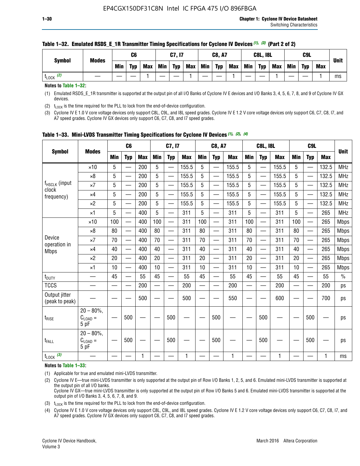| <b>Symbol</b> | <b>Modes</b> |            | C6         |     |            | C7, I7     |            |            | <b>C8, A7</b> |            |            | <b>C8L, I8L</b> |            |     | C <sub>9</sub> L |            | <b>Unit</b> |
|---------------|--------------|------------|------------|-----|------------|------------|------------|------------|---------------|------------|------------|-----------------|------------|-----|------------------|------------|-------------|
|               |              | <b>Min</b> | <b>Typ</b> | Max | <b>Min</b> | <b>Typ</b> | <b>Max</b> | <b>Min</b> | <b>Typ</b>    | <b>Max</b> | <b>Min</b> | <b>Typ</b>      | <b>Max</b> | Min | <b>Typ</b>       | <b>Max</b> |             |
| (2)<br>LOCK   |              |            |            |     |            |            |            |            |               |            |            |                 |            |     |                  |            | ms          |

#### **Table 1–32. Emulated RSDS\_E\_1R Transmitter Timing Specifications for Cyclone IV Devices** *(1), (3)* **(Part 2 of 2)**

**Notes to Table 1–32:**

(1) Emulated RSDS\_E\_1R transmitter is supported at the output pin of all I/O Banks of Cyclone IV E devices and I/O Banks 3, 4, 5, 6, 7, 8, and 9 of Cyclone IV GX devices.

(2)  $t_{\text{LOCK}}$  is the time required for the PLL to lock from the end-of-device configuration.

(3) Cyclone IV E 1.0 V core voltage devices only support C8L, C9L, and I8L speed grades. Cyclone IV E 1.2 V core voltage devices only support C6, C7, C8, I7, and A7 speed grades. Cyclone IV GX devices only support C6, C7, C8, and I7 speed grades.

|                                    |                                              |     | C <sub>6</sub>           |            |            | C7, I7                   |            |            | <b>C8, A7</b>            |            |                          | <b>C8L, I8L</b>          |            |            | C <sub>9L</sub>          |            | <b>Unit</b>   |
|------------------------------------|----------------------------------------------|-----|--------------------------|------------|------------|--------------------------|------------|------------|--------------------------|------------|--------------------------|--------------------------|------------|------------|--------------------------|------------|---------------|
| <b>Symbol</b>                      | <b>Modes</b>                                 | Min | <b>Typ</b>               | <b>Max</b> | <b>Min</b> | <b>Typ</b>               | <b>Max</b> | <b>Min</b> | <b>Typ</b>               | <b>Max</b> | <b>Min</b>               | <b>Typ</b>               | <b>Max</b> | <b>Min</b> | <b>Typ</b>               | <b>Max</b> |               |
|                                    | $\times$ 10                                  | 5   | $\overline{\phantom{0}}$ | 200        | 5          | —                        | 155.5      | 5          | $\overline{\phantom{0}}$ | 155.5      | 5                        | —                        | 155.5      | 5          | $\overline{\phantom{0}}$ | 132.5      | <b>MHz</b>    |
|                                    | $\times 8$                                   | 5   |                          | 200        | 5          | —                        | 155.5      | 5          | —                        | 155.5      | 5                        | —                        | 155.5      | 5          |                          | 132.5      | <b>MHz</b>    |
| f <sub>HSCLK</sub> (input<br>clock | $\times 7$                                   | 5   |                          | 200        | 5          | —                        | 155.5      | 5          | —                        | 155.5      | 5                        | $\overline{\phantom{0}}$ | 155.5      | 5          |                          | 132.5      | <b>MHz</b>    |
| frequency)                         | $\times$ 4                                   | 5   |                          | 200        | 5          | $\overline{\phantom{0}}$ | 155.5      | 5          | $\overline{\phantom{0}}$ | 155.5      | 5                        | $\overline{\phantom{0}}$ | 155.5      | 5          | $\overline{\phantom{0}}$ | 132.5      | <b>MHz</b>    |
|                                    | $\times 2$                                   | 5   | $\overline{\phantom{0}}$ | 200        | 5          | —                        | 155.5      | 5          | $\overline{\phantom{0}}$ | 155.5      | 5                        | $\overline{\phantom{0}}$ | 155.5      | 5          |                          | 132.5      | <b>MHz</b>    |
|                                    | $\times$ 1                                   | 5   |                          | 400        | 5          |                          | 311        | 5          | $\overline{\phantom{0}}$ | 311        | 5                        | —                        | 311        | 5          |                          | 265        | <b>MHz</b>    |
|                                    | $\times$ 10                                  | 100 |                          | 400        | 100        | $\overline{\phantom{0}}$ | 311        | 100        | $\overline{\phantom{0}}$ | 311        | 100                      | $\overline{\phantom{0}}$ | 311        | 100        |                          | 265        | <b>Mbps</b>   |
|                                    | $\times 8$                                   | 80  |                          | 400        | 80         | $\equiv$                 | 311        | 80         | $\overline{\phantom{0}}$ | 311        | 80                       | $\overline{\phantom{0}}$ | 311        | 80         |                          | 265        | <b>Mbps</b>   |
| Device                             | $\times 7$                                   | 70  |                          | 400        | 70         | $\overline{\phantom{0}}$ | 311        | 70         | $\overline{\phantom{0}}$ | 311        | 70                       | $\equiv$                 | 311        | 70         |                          | 265        | <b>Mbps</b>   |
| operation in<br><b>Mbps</b>        | $\times$ 4                                   | 40  |                          | 400        | 40         |                          | 311        | 40         | $\overline{\phantom{0}}$ | 311        | 40                       | —                        | 311        | 40         |                          | 265        | <b>Mbps</b>   |
|                                    | $\times 2$                                   | 20  | $\overline{\phantom{0}}$ | 400        | 20         | —                        | 311        | 20         | $\overline{\phantom{0}}$ | 311        | 20                       | $\overline{\phantom{0}}$ | 311        | 20         |                          | 265        | <b>Mbps</b>   |
|                                    | $\times$ 1                                   | 10  |                          | 400        | 10         |                          | 311        | 10         | $\overline{\phantom{0}}$ | 311        | 10                       | $\overline{\phantom{0}}$ | 311        | 10         |                          | 265        | <b>Mbps</b>   |
| t <sub>DUTY</sub>                  | $\overline{\phantom{0}}$                     | 45  |                          | 55         | 45         | $\overline{\phantom{0}}$ | 55         | 45         | $\overline{\phantom{0}}$ | 55         | 45                       | $\equiv$                 | 55         | 45         | $\overline{\phantom{0}}$ | 55         | $\frac{0}{0}$ |
| <b>TCCS</b>                        |                                              |     |                          | 200        | $\equiv$   |                          | 200        |            | $\overline{\phantom{0}}$ | 200        | $\overline{\phantom{0}}$ |                          | 200        |            |                          | 200        | ps            |
| Output jitter<br>(peak to peak)    |                                              |     |                          | 500        |            |                          | 500        |            |                          | 550        |                          |                          | 600        |            |                          | 700        | ps            |
| $t_{\text{RISE}}$                  | $20 - 80\%$ ,<br>$C_{\text{LOAD}} =$<br>5 pF |     | 500                      |            |            | 500                      |            |            | 500                      |            |                          | 500                      |            |            | 500                      |            | ps            |
| t <sub>FALL</sub>                  | $20 - 80\%$<br>$C_{\text{LOAD}} =$<br>5 pF   |     | 500                      |            |            | 500                      |            |            | 500                      |            |                          | 500                      |            |            | 500                      |            | ps            |
| $t_{\text{LOCK}}$ (3)              |                                              |     |                          | 1          |            |                          | 1          |            |                          | 1          |                          |                          | 1          |            |                          |            | ms            |

**Table 1–33. Mini-LVDS Transmitter Timing Specifications for Cyclone IV Devices** *(1)***,** *(2)***,** *(4)*

**Notes to Table 1–33:**

(1) Applicable for true and emulated mini-LVDS transmitter.

(2) Cyclone IV E—true mini-LVDS transmitter is only supported at the output pin of Row I/O Banks 1, 2, 5, and 6. Emulated mini-LVDS transmitter is supported at the output pin of all I/O banks.

Cyclone IV GX—true mini-LVDS transmitter is only supported at the output pin of Row I/O Banks 5 and 6. Emulated mini-LVDS transmitter is supported at the output pin of I/O Banks 3, 4, 5, 6, 7, 8, and 9.

(3)  $t_{\text{LOCK}}$  is the time required for the PLL to lock from the end-of-device configuration.

(4) Cyclone IV E 1.0 V core voltage devices only support C8L, C9L, and I8L speed grades. Cyclone IV E 1.2 V core voltage devices only support C6, C7, C8, I7, and A7 speed grades. Cyclone IV GX devices only support C6, C7, C8, and I7 speed grades.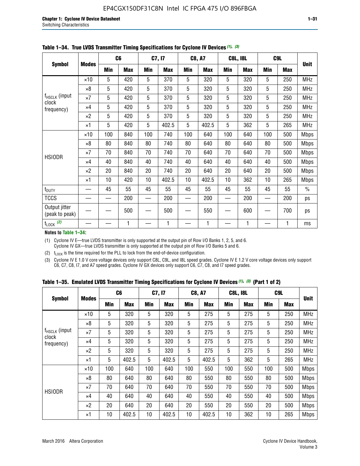|                                 |              |     | C <sub>6</sub> |     | C7, I7     |            | <b>C8, A7</b> |     | <b>C8L, I8L</b> |            | C <sub>9</sub> L |               |
|---------------------------------|--------------|-----|----------------|-----|------------|------------|---------------|-----|-----------------|------------|------------------|---------------|
| <b>Symbol</b>                   | <b>Modes</b> | Min | <b>Max</b>     | Min | <b>Max</b> | <b>Min</b> | <b>Max</b>    | Min | <b>Max</b>      | <b>Min</b> | <b>Max</b>       | <b>Unit</b>   |
|                                 | $\times$ 10  | 5   | 420            | 5   | 370        | 5          | 320           | 5   | 320             | 5          | 250              | <b>MHz</b>    |
|                                 | $\times 8$   | 5   | 420            | 5   | 370        | 5          | 320           | 5   | 320             | 5          | 250              | <b>MHz</b>    |
| f <sub>HSCLK</sub> (input       | $\times 7$   | 5   | 420            | 5   | 370        | 5          | 320           | 5   | 320             | 5          | 250              | <b>MHz</b>    |
| clock<br>frequency)             | $\times$ 4   | 5   | 420            | 5   | 370        | 5          | 320           | 5   | 320             | 5          | 250              | <b>MHz</b>    |
|                                 | $\times 2$   | 5   | 420            | 5   | 370        | 5          | 320           | 5   | 320             | 5          | 250              | <b>MHz</b>    |
|                                 | $\times$ 1   | 5   | 420            | 5   | 402.5      | 5          | 402.5         | 5   | 362             | 5          | 265              | <b>MHz</b>    |
|                                 | $\times$ 10  | 100 | 840            | 100 | 740        | 100        | 640           | 100 | 640             | 100        | 500              | <b>Mbps</b>   |
|                                 | $\times 8$   | 80  | 840            | 80  | 740        | 80         | 640           | 80  | 640             | 80         | 500              | <b>Mbps</b>   |
| <b>HSIODR</b>                   | $\times 7$   | 70  | 840            | 70  | 740        | 70         | 640           | 70  | 640             | 70         | 500              | <b>Mbps</b>   |
|                                 | $\times$ 4   | 40  | 840            | 40  | 740        | 40         | 640           | 40  | 640             | 40         | 500              | <b>Mbps</b>   |
|                                 | $\times 2$   | 20  | 840            | 20  | 740        | 20         | 640           | 20  | 640             | 20         | 500              | <b>Mbps</b>   |
|                                 | $\times$ 1   | 10  | 420            | 10  | 402.5      | 10         | 402.5         | 10  | 362             | 10         | 265              | <b>Mbps</b>   |
| t <sub>DUTY</sub>               |              | 45  | 55             | 45  | 55         | 45         | 55            | 45  | 55              | 45         | 55               | $\frac{0}{0}$ |
| <b>TCCS</b>                     |              |     | 200            |     | 200        |            | 200           |     | 200             |            | 200              | ps            |
| Output jitter<br>(peak to peak) |              |     | 500            |     | 500        |            | 550           |     | 600             |            | 700              | ps            |
| $t_{\text{LOCK}}$ (2)           |              |     | 1              |     | 1          |            | 1             |     | 1               |            | 1                | ms            |

**Table 1–34. True LVDS Transmitter Timing Specifications for Cyclone IV Devices** *(1)***,** *(3)*

**Notes to Table 1–34:**

(1) Cyclone IV E—true LVDS transmitter is only supported at the output pin of Row I/O Banks 1, 2, 5, and 6. Cyclone IV GX—true LVDS transmitter is only supported at the output pin of Row I/O Banks 5 and 6.

(2)  $t_{\text{LOCK}}$  is the time required for the PLL to lock from the end-of-device configuration.

(3) Cyclone IV E 1.0 V core voltage devices only support C8L, C9L, and I8L speed grades. Cyclone IV E 1.2 V core voltage devices only support C6, C7, C8, I7, and A7 speed grades. Cyclone IV GX devices only support C6, C7, C8, and I7 speed grades.

|  |  |  |  | Table 1–35. Emulated LVDS Transmitter Timing Specifications for Cyclone IV Devices <sup>(1), (3)</sup> (Part 1 of 2) |  |  |
|--|--|--|--|----------------------------------------------------------------------------------------------------------------------|--|--|
|--|--|--|--|----------------------------------------------------------------------------------------------------------------------|--|--|

|                             |              | C <sub>6</sub> |            | C7, I7     |            | <b>C8, A7</b> |            | <b>C8L, I8L</b> |            |            | C <sub>9</sub> L |             |
|-----------------------------|--------------|----------------|------------|------------|------------|---------------|------------|-----------------|------------|------------|------------------|-------------|
| <b>Symbol</b>               | <b>Modes</b> | Min            | <b>Max</b> | <b>Min</b> | <b>Max</b> | <b>Min</b>    | <b>Max</b> | <b>Min</b>      | <b>Max</b> | <b>Min</b> | <b>Max</b>       | <b>Unit</b> |
|                             | $\times$ 10  | 5              | 320        | 5          | 320        | 5             | 275        | 5               | 275        | 5          | 250              | <b>MHz</b>  |
|                             | $\times 8$   | 5              | 320        | 5          | 320        | 5             | 275        | 5               | 275        | 5          | 250              | <b>MHz</b>  |
| $f_{HSCLK}$ (input<br>clock | $\times 7$   | 5              | 320        | 5          | 320        | 5             | 275        | 5               | 275        | 5          | 250              | <b>MHz</b>  |
| frequency)                  | $\times$ 4   | 5              | 320        | 5          | 320        | 5             | 275        | 5               | 275        | 5          | 250              | <b>MHz</b>  |
|                             | $\times 2$   | 5              | 320        | 5          | 320        | 5             | 275        | 5               | 275        | 5          | 250              | <b>MHz</b>  |
|                             | $\times$ 1   | 5              | 402.5      | 5          | 402.5      | 5             | 402.5      | 5               | 362        | 5          | 265              | <b>MHz</b>  |
|                             | $\times$ 10  | 100            | 640        | 100        | 640        | 100           | 550        | 100             | 550        | 100        | 500              | <b>Mbps</b> |
|                             | $\times 8$   | 80             | 640        | 80         | 640        | 80            | 550        | 80              | 550        | 80         | 500              | <b>Mbps</b> |
| <b>HSIODR</b>               | $\times 7$   | 70             | 640        | 70         | 640        | 70            | 550        | 70              | 550        | 70         | 500              | <b>Mbps</b> |
|                             | $\times$ 4   | 40             | 640        | 40         | 640        | 40            | 550        | 40              | 550        | 40         | 500              | <b>Mbps</b> |
|                             | $\times 2$   | 20             | 640        | 20         | 640        | 20            | 550        | 20              | 550        | 20         | 500              | <b>Mbps</b> |
|                             | $\times$ 1   | 10             | 402.5      | 10         | 402.5      | 10            | 402.5      | 10              | 362        | 10         | 265              | <b>Mbps</b> |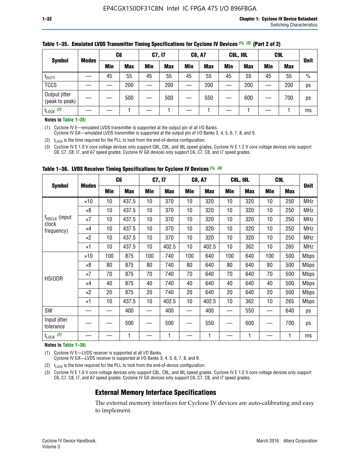|                                 |              | C <sub>6</sub> |            | C7, I7     |            | <b>C8, A7</b> |            | <b>C8L, I8L</b> |            |         | C <sub>9</sub> L |               |
|---------------------------------|--------------|----------------|------------|------------|------------|---------------|------------|-----------------|------------|---------|------------------|---------------|
| <b>Symbol</b>                   | <b>Modes</b> | Min            | <b>Max</b> | <b>Min</b> | <b>Max</b> | <b>Min</b>    | <b>Max</b> | Min             | <b>Max</b> | Min     | <b>Max</b>       | <b>Unit</b>   |
| t <sub>DUTY</sub>               |              | 45             | 55         | 45         | 55         | 45            | 55         | 45              | 55         | 45      | 55               | $\frac{0}{0}$ |
| <b>TCCS</b>                     |              |                | 200        |            | 200        |               | 200        |                 | 200        | —<br>—— | 200              | ps            |
| Output jitter<br>(peak to peak) |              |                | 500        |            | 500        |               | 550        |                 | 600        |         | 700              | ps            |
| $t_{\text{LOCK}}$ (2)           |              |                |            |            |            |               |            |                 |            |         |                  | ms            |

#### **Table 1–35. Emulated LVDS Transmitter Timing Specifications for Cyclone IV Devices** *(1)***,** *(3)* **(Part 2 of 2)**

#### **Notes to Table 1–35:**

(1) Cyclone IV E—emulated LVDS transmitter is supported at the output pin of all I/O Banks.

Cyclone IV GX—emulated LVDS transmitter is supported at the output pin of I/O Banks 3, 4, 5, 6, 7, 8, and 9.

(2)  $t_{\text{LOCK}}$  is the time required for the PLL to lock from the end-of-device configuration.

(3) Cyclone IV E 1.0 V core voltage devices only support C8L, C9L, and I8L speed grades. Cyclone IV E 1.2 V core voltage devices only support C6, C7, C8, I7, and A7 speed grades. Cyclone IV GX devices only support C6, C7, C8, and I7 speed grades.

|                                    |              | C <sub>6</sub> |            | C7, I7     |            | <b>C8, A7</b> |            | <b>C8L, I8L</b> |            | C <sub>9</sub> L |            |             |
|------------------------------------|--------------|----------------|------------|------------|------------|---------------|------------|-----------------|------------|------------------|------------|-------------|
| <b>Symbol</b>                      | <b>Modes</b> | Min            | <b>Max</b> | <b>Min</b> | <b>Max</b> | Min           | <b>Max</b> | Min             | <b>Max</b> | Min              | <b>Max</b> | <b>Unit</b> |
|                                    | $\times$ 10  | 10             | 437.5      | 10         | 370        | 10            | 320        | 10              | 320        | 10               | 250        | <b>MHz</b>  |
|                                    | $\times 8$   | 10             | 437.5      | 10         | 370        | 10            | 320        | 10              | 320        | 10               | 250        | <b>MHz</b>  |
| f <sub>HSCLK</sub> (input<br>clock | $\times 7$   | 10             | 437.5      | 10         | 370        | 10            | 320        | 10              | 320        | 10               | 250        | <b>MHz</b>  |
| frequency)                         | ×4           | 10             | 437.5      | 10         | 370        | 10            | 320        | 10              | 320        | 10               | 250        | <b>MHz</b>  |
|                                    | $\times 2$   | 10             | 437.5      | 10         | 370        | 10            | 320        | 10              | 320        | 10               | 250        | <b>MHz</b>  |
|                                    | ×1           | 10             | 437.5      | 10         | 402.5      | 10            | 402.5      | 10              | 362        | 10               | 265        | <b>MHz</b>  |
|                                    | $\times$ 10  | 100            | 875        | 100        | 740        | 100           | 640        | 100             | 640        | 100              | 500        | <b>Mbps</b> |
|                                    | $\times 8$   | 80             | 875        | 80         | 740        | 80            | 640        | 80              | 640        | 80               | 500        | <b>Mbps</b> |
| <b>HSIODR</b>                      | $\times 7$   | 70             | 875        | 70         | 740        | 70            | 640        | 70              | 640        | 70               | 500        | <b>Mbps</b> |
|                                    | $\times 4$   | 40             | 875        | 40         | 740        | 40            | 640        | 40              | 640        | 40               | 500        | <b>Mbps</b> |
|                                    | $\times 2$   | 20             | 875        | 20         | 740        | 20            | 640        | 20              | 640        | 20               | 500        | <b>Mbps</b> |
|                                    | ×1           | 10             | 437.5      | 10         | 402.5      | 10            | 402.5      | 10              | 362        | 10               | 265        | <b>Mbps</b> |
| SW                                 |              |                | 400        |            | 400        |               | 400        |                 | 550        | —                | 640        | ps          |
| Input jitter<br>tolerance          |              |                | 500        |            | 500        |               | 550        |                 | 600        |                  | 700        | ps          |
| $t_{\text{LOCK}}$ (2)              |              |                | 1          |            | 1          |               | 1          |                 | 1          |                  | 1          | ms          |

**Table 1–36. LVDS Receiver Timing Specifications for Cyclone IV Devices** *(1)***,** *(3)*

#### **Notes to Table 1–36:**

(1) Cyclone IV E—LVDS receiver is supported at all I/O Banks.

Cyclone IV GX—LVDS receiver is supported at I/O Banks 3, 4, 5, 6, 7, 8, and 9.

(2)  $t_{\text{LOCK}}$  is the time required for the PLL to lock from the end-of-device configuration.

(3) Cyclone IV E 1.0 V core voltage devices only support C8L, C9L, and I8L speed grades. Cyclone IV E 1.2 V core voltage devices only support C6, C7, C8, I7, and A7 speed grades. Cyclone IV GX devices only support C6, C7, C8, and I7 speed grades.

## **External Memory Interface Specifications**

The external memory interfaces for Cyclone IV devices are auto-calibrating and easy to implement.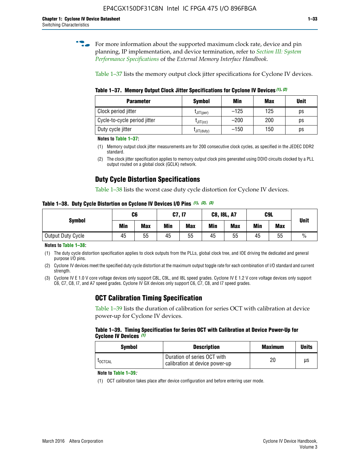**for more information about the supported maximum clock rate, device and pin** planning, IP implementation, and device termination, refer to *[Section III: System](http://www.altera.com/literature/hb/external-memory/emi_intro_specs.pdf)  [Performance Specifications](http://www.altera.com/literature/hb/external-memory/emi_intro_specs.pdf)* of the *External Memory Interface Handbook*.

Table 1–37 lists the memory output clock jitter specifications for Cyclone IV devices.

**Table 1–37. Memory Output Clock Jitter Specifications for Cyclone IV Devices** *(1)***,** *(2)*

| <b>Parameter</b>             | <b>Symbol</b>  | Min    | <b>Max</b> | <b>Unit</b> |
|------------------------------|----------------|--------|------------|-------------|
| Clock period jitter          | $L$ JIT(per)   | $-125$ | 125        | ps          |
| Cycle-to-cycle period jitter | $L$ JIT $(cc)$ | $-200$ | 200        | ps          |
| Duty cycle jitter            | LJIT(duty)     | $-150$ | 150        | рs          |

**Notes to Table 1–37:**

- (1) Memory output clock jitter measurements are for 200 consecutive clock cycles, as specified in the JEDEC DDR2 standard.
- (2) The clock jitter specification applies to memory output clock pins generated using DDIO circuits clocked by a PLL output routed on a global clock (GCLK) network.

## **Duty Cycle Distortion Specifications**

Table 1–38 lists the worst case duty cycle distortion for Cyclone IV devices.

**Table 1–38. Duty Cycle Distortion on Cyclone IV Devices I/O Pins** *(1)***,** *(2), (3)*

| <b>Symbol</b>     | C <sub>6</sub> |            | C7, I7     |            | <b>C8, I8L, A7</b> |            |            | C9L        | <b>Unit</b>   |
|-------------------|----------------|------------|------------|------------|--------------------|------------|------------|------------|---------------|
|                   | Min            | <b>Max</b> | <b>Min</b> | <b>Max</b> | Min                | <b>Max</b> | <b>Min</b> | <b>Max</b> |               |
| Output Duty Cycle | 45             | 55         | 45         | 55         | 45                 | 55         | 45         | 55         | $\frac{0}{0}$ |

**Notes to Table 1–38:**

(1) The duty cycle distortion specification applies to clock outputs from the PLLs, global clock tree, and IOE driving the dedicated and general purpose I/O pins.

(2) Cyclone IV devices meet the specified duty cycle distortion at the maximum output toggle rate for each combination of I/O standard and current strength.

(3) Cyclone IV E 1.0 V core voltage devices only support C8L, C9L, and I8L speed grades. Cyclone IV E 1.2 V core voltage devices only support C6, C7, C8, I7, and A7 speed grades. Cyclone IV GX devices only support C6, C7, C8, and I7 speed grades.

## **OCT Calibration Timing Specification**

Table 1–39 lists the duration of calibration for series OCT with calibration at device power-up for Cyclone IV devices.

#### **Table 1–39. Timing Specification for Series OCT with Calibration at Device Power-Up for Cyclone IV Devices** *(1)*

| Symbol  | <b>Description</b>                                            | <b>Maximum</b> | <b>Units</b> |
|---------|---------------------------------------------------------------|----------------|--------------|
| LOCTCAL | Duration of series OCT with<br>calibration at device power-up | 20             | μs           |

#### **Note to Table 1–39***:*

(1) OCT calibration takes place after device configuration and before entering user mode.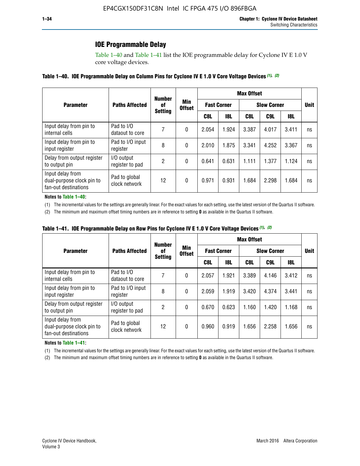## **IOE Programmable Delay**

Table 1–40 and Table 1–41 list the IOE programmable delay for Cyclone IV E 1.0 V core voltage devices.

| Table 1–40. IOE Programmable Delay on Column Pins for Cyclone IV E 1.0 V Core Voltage Devices (1), (2) |
|--------------------------------------------------------------------------------------------------------|
|--------------------------------------------------------------------------------------------------------|

|                                                                       |                                | <b>Number</b><br>0f | Min<br><b>Offset</b> | <b>Max Offset</b>  |       |                    |             |       |    |  |
|-----------------------------------------------------------------------|--------------------------------|---------------------|----------------------|--------------------|-------|--------------------|-------------|-------|----|--|
| <b>Parameter</b>                                                      | <b>Paths Affected</b>          |                     |                      | <b>Fast Corner</b> |       | <b>Slow Corner</b> | <b>Unit</b> |       |    |  |
|                                                                       |                                | <b>Setting</b>      |                      | C8L                | 18L   | C8L                | C9L         | 18L   |    |  |
| Input delay from pin to<br>internal cells                             | Pad to I/O<br>dataout to core  | 7                   | 0                    | 2.054              | 1.924 | 3.387              | 4.017       | 3.411 | ns |  |
| Input delay from pin to<br>input register                             | Pad to I/O input<br>register   | 8                   | 0                    | 2.010              | 1.875 | 3.341              | 4.252       | 3.367 | ns |  |
| Delay from output register<br>to output pin                           | I/O output<br>register to pad  | 2                   | 0                    | 0.641              | 0.631 | 1.111              | 1.377       | 1.124 | ns |  |
| Input delay from<br>dual-purpose clock pin to<br>fan-out destinations | Pad to global<br>clock network | 12                  | 0                    | 0.971              | 0.931 | 1.684              | 2.298       | 1.684 | ns |  |

#### **Notes to Table 1–40:**

(1) The incremental values for the settings are generally linear. For the exact values for each setting, use the latest version of the Quartus II software.

(2) The minimum and maximum offset timing numbers are in reference to setting **0** as available in the Quartus II software.

| Table 1–41. IOE Programmable Delay on Row Pins for Cyclone IV E 1.0 V Core Voltage Devices (1), (2) |  |  |
|-----------------------------------------------------------------------------------------------------|--|--|
|-----------------------------------------------------------------------------------------------------|--|--|

|                                                                       |                                | <b>Number</b><br>Min<br>0f |               | <b>Max Offset</b> |                    |                    |             |       |    |  |
|-----------------------------------------------------------------------|--------------------------------|----------------------------|---------------|-------------------|--------------------|--------------------|-------------|-------|----|--|
| <b>Parameter</b>                                                      | <b>Paths Affected</b>          |                            | <b>Offset</b> |                   | <b>Fast Corner</b> | <b>Slow Corner</b> | <b>Unit</b> |       |    |  |
|                                                                       |                                | <b>Setting</b>             |               | C8L               | <b>18L</b>         | C8L                | C9L         | 18L   |    |  |
| Input delay from pin to<br>internal cells                             | Pad to I/O<br>dataout to core  | 7                          | 0             | 2.057             | 1.921              | 3.389              | 4.146       | 3.412 | ns |  |
| Input delay from pin to<br>input register                             | Pad to I/O input<br>register   | 8                          | 0             | 2.059             | 1.919              | 3.420              | 4.374       | 3.441 | ns |  |
| Delay from output register<br>to output pin                           | I/O output<br>register to pad  | 2                          | 0             | 0.670             | 0.623              | 1.160              | 1.420       | 1.168 | ns |  |
| Input delay from<br>dual-purpose clock pin to<br>fan-out destinations | Pad to global<br>clock network | 12                         | 0             | 0.960             | 0.919              | 1.656              | 2.258       | 1.656 | ns |  |

#### **Notes to Table 1–41:**

(1) The incremental values for the settings are generally linear. For the exact values for each setting, use the latest version of the Quartus II software.

(2) The minimum and maximum offset timing numbers are in reference to setting **0** as available in the Quartus II software.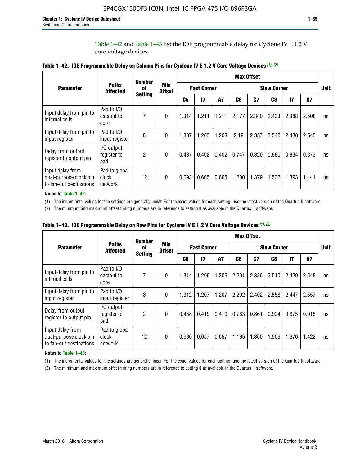Table 1–42 and Table 1–43 list the IOE programmable delay for Cyclone IV E 1.2 V core voltage devices.

|                                                                       |                                   | <b>Number</b>        |                             | <b>Max Offset</b>  |              |           |       |                    |                |              |       |    |
|-----------------------------------------------------------------------|-----------------------------------|----------------------|-----------------------------|--------------------|--------------|-----------|-------|--------------------|----------------|--------------|-------|----|
| <b>Parameter</b>                                                      | <b>Paths</b><br><b>Affected</b>   | of<br><b>Setting</b> | <b>Min</b><br><b>Offset</b> | <b>Fast Corner</b> |              |           |       | <b>Slow Corner</b> |                |              |       |    |
|                                                                       |                                   |                      |                             | C <sub>6</sub>     | $\mathbf{I}$ | <b>A7</b> | C6    | C7                 | C <sub>8</sub> | $\mathbf{I}$ | A7    |    |
| Input delay from pin to<br>internal cells                             | Pad to I/O<br>dataout to<br>core  | 7                    | 0                           | 1.314              | 1.211        | 1.211     | 2.177 | 2.340              | 2.433          | 2.388        | 2.508 | ns |
| Input delay from pin to<br>input register                             | Pad to I/O<br>input register      | 8                    | $\theta$                    | 1.307              | 1.203        | 1.203     | 2.19  | 2.387              | 2.540          | 2.430        | 2.545 | ns |
| Delay from output<br>register to output pin                           | I/O output<br>register to<br>pad  | 2                    | 0                           | 0.437              | 0.402        | 0.402     | 0.747 | 0.820              | 0.880          | 0.834        | 0.873 | ns |
| Input delay from<br>dual-purpose clock pin<br>to fan-out destinations | Pad to global<br>clock<br>network | 12                   | 0                           | 0.693              | 0.665        | 0.665     | 1.200 | 1.379              | 1.532          | 1.393        | 1.441 | ns |

**Table 1–42. IOE Programmable Delay on Column Pins for Cyclone IV E 1.2 V Core Voltage Devices** *(1)***,** *(2)*

**Notes to Table 1–42:**

(1) The incremental values for the settings are generally linear. For the exact values for each setting, use the latest version of the Quartus II software.

(2) The minimum and maximum offset timing numbers are in reference to setting **0** as available in the Quartus II software.

|                                                                       |                                   | <b>Number</b>        |                             |                    |              |           |       | <b>Max Offset</b>  |       |               |       |    |
|-----------------------------------------------------------------------|-----------------------------------|----------------------|-----------------------------|--------------------|--------------|-----------|-------|--------------------|-------|---------------|-------|----|
| <b>Parameter</b>                                                      | <b>Paths</b><br><b>Affected</b>   | of<br><b>Setting</b> | <b>Min</b><br><b>Offset</b> | <b>Fast Corner</b> |              |           |       | <b>Slow Corner</b> |       |               |       |    |
|                                                                       |                                   |                      |                             | C6                 | $\mathbf{I}$ | <b>A7</b> | C6    | C7                 | C8    | $\mathsf{I}7$ | A7    |    |
| Input delay from pin to<br>internal cells                             | Pad to I/O<br>dataout to<br>core  | 7                    | $\Omega$                    | 1.314              | 1.209        | 1.209     | 2.201 | 2.386              | 2.510 | 2.429         | 2.548 | ns |
| Input delay from pin to<br>input register                             | Pad to I/O<br>input register      | 8                    | $\Omega$                    | 1.312              | 1.207        | 1.207     | 2.202 | 2.402              | 2.558 | 2.447         | 2.557 | ns |
| Delay from output<br>register to output pin                           | I/O output<br>register to<br>pad  | 2                    | $\Omega$                    | 0.458              | 0.419        | 0.419     | 0.783 | 0.861              | 0.924 | 0.875         | 0.915 | ns |
| Input delay from<br>dual-purpose clock pin<br>to fan-out destinations | Pad to global<br>clock<br>network | 12                   | $\Omega$                    | 0.686              | 0.657        | 0.657     | 1.185 | 1.360              | 1.506 | 1.376         | 1.422 | ns |

**Table 1–43. IOE Programmable Delay on Row Pins for Cyclone IV E 1.2 V Core Voltage Devices** *(1)***,** *(2)*

#### **Notes to Table 1–43:**

(1) The incremental values for the settings are generally linear. For the exact values for each setting, use the latest version of the Quartus II software.

(2) The minimum and maximum offset timing numbers are in reference to setting **0** as available in the Quartus II software.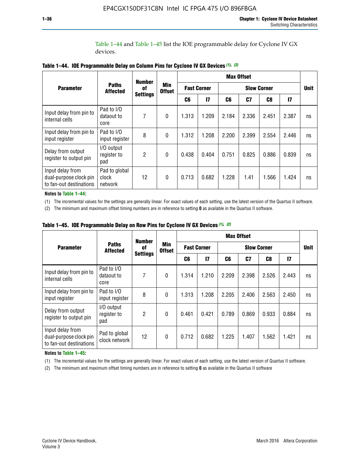Table 1–44 and Table 1–45 list the IOE programmable delay for Cyclone IV GX devices.

|                                                                       |                                   | <b>Number</b><br>0f<br><b>Settings</b> | <b>Min</b><br><b>Offset</b> | <b>Max Offset</b>  |               |                    |       |       |       |             |
|-----------------------------------------------------------------------|-----------------------------------|----------------------------------------|-----------------------------|--------------------|---------------|--------------------|-------|-------|-------|-------------|
| <b>Parameter</b>                                                      | <b>Paths</b><br><b>Affected</b>   |                                        |                             | <b>Fast Corner</b> |               | <b>Slow Corner</b> |       |       |       | <b>Unit</b> |
|                                                                       |                                   |                                        |                             | C6                 | $\mathsf{I}7$ | C6                 | C7    | C8    | 17    |             |
| Input delay from pin to<br>internal cells                             | Pad to I/O<br>dataout to<br>core  | 7                                      | $\boldsymbol{0}$            | 1.313              | 1.209         | 2.184              | 2.336 | 2.451 | 2.387 | ns          |
| Input delay from pin to<br>input register                             | Pad to I/O<br>input register      | 8                                      | $\theta$                    | 1.312              | 1.208         | 2.200              | 2.399 | 2.554 | 2.446 | ns          |
| Delay from output<br>register to output pin                           | I/O output<br>register to<br>pad  | 2                                      | $\mathbf{0}$                | 0.438              | 0.404         | 0.751              | 0.825 | 0.886 | 0.839 | ns          |
| Input delay from<br>dual-purpose clock pin<br>to fan-out destinations | Pad to global<br>clock<br>network | 12                                     | $\mathbf{0}$                | 0.713              | 0.682         | 1.228              | 1.41  | 1.566 | 1.424 | ns          |

**Table 1–44. IOE Programmable Delay on Column Pins for Cyclone IV GX Devices** *(1)***,** *(2)*

**Notes to Table 1–44:**

(1) The incremental values for the settings are generally linear. For exact values of each setting, use the latest version of the Quartus II software.

(2) The minimum and maximum offset timing numbers are in reference to setting **0** as available in the Quartus II software.

|                                                                       |                                  | <b>Number</b>         |                      |                    |       |       | <b>Max Offset</b>  |       |               |    |  |
|-----------------------------------------------------------------------|----------------------------------|-----------------------|----------------------|--------------------|-------|-------|--------------------|-------|---------------|----|--|
| <b>Parameter</b>                                                      | <b>Paths</b><br><b>Affected</b>  | 0f<br><b>Settings</b> | Min<br><b>Offset</b> | <b>Fast Corner</b> |       |       | <b>Slow Corner</b> |       |               |    |  |
|                                                                       |                                  |                       |                      | C6                 | 17    | C6    | C7                 | C8    | $\mathsf{I}7$ |    |  |
| Input delay from pin to<br>internal cells                             | Pad to I/O<br>dataout to<br>core | 7                     | $\mathbf{0}$         | 1.314              | 1.210 | 2.209 | 2.398              | 2.526 | 2.443         | ns |  |
| Input delay from pin to<br>input register                             | Pad to I/O<br>input register     | 8                     | $\mathbf{0}$         | 1.313              | 1.208 | 2.205 | 2.406              | 2.563 | 2.450         | ns |  |
| Delay from output<br>register to output pin                           | I/O output<br>register to<br>pad | $\overline{2}$        | $\mathbf{0}$         | 0.461              | 0.421 | 0.789 | 0.869              | 0.933 | 0.884         | ns |  |
| Input delay from<br>dual-purpose clock pin<br>to fan-out destinations | Pad to global<br>clock network   | 12                    | 0                    | 0.712              | 0.682 | 1.225 | 1.407              | 1.562 | 1.421         | ns |  |

**Table 1–45. IOE Programmable Delay on Row Pins for Cyclone IV GX Devices** *(1)***,** *(2)*

#### **Notes to Table 1–45:**

(1) The incremental values for the settings are generally linear. For exact values of each setting, use the latest version of Quartus II software.

(2) The minimum and maximum offset timing numbers are in reference to setting **0** as available in the Quartus II software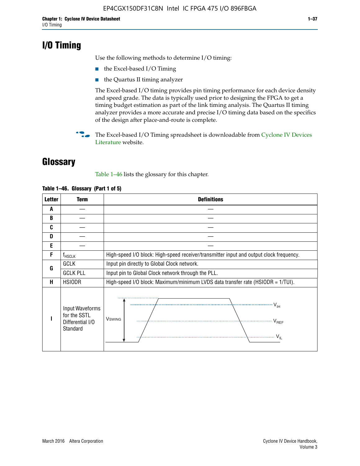## **I/O Timing**

Use the following methods to determine I/O timing:

- the Excel-based I/O Timing
- the Quartus II timing analyzer

The Excel-based I/O timing provides pin timing performance for each device density and speed grade. The data is typically used prior to designing the FPGA to get a timing budget estimation as part of the link timing analysis. The Quartus II timing analyzer provides a more accurate and precise I/O timing data based on the specifics of the design after place-and-route is complete.

**For The Excel-based I/O Timing spreadsheet is downloadable from Cyclone IV Devices** [Literature](http://www.altera.com/literature/lit-cyclone-iv.jsp) website.

## **Glossary**

Table 1–46 lists the glossary for this chapter.

| <b>Letter</b> | <b>Term</b>                                                     | <b>Definitions</b>                                                                                                                               |  |  |  |  |  |  |
|---------------|-----------------------------------------------------------------|--------------------------------------------------------------------------------------------------------------------------------------------------|--|--|--|--|--|--|
| A             |                                                                 |                                                                                                                                                  |  |  |  |  |  |  |
| B             |                                                                 |                                                                                                                                                  |  |  |  |  |  |  |
| C             |                                                                 |                                                                                                                                                  |  |  |  |  |  |  |
| D             |                                                                 |                                                                                                                                                  |  |  |  |  |  |  |
| E             |                                                                 |                                                                                                                                                  |  |  |  |  |  |  |
| F             | $f_{\sf HSCLK}$                                                 | High-speed I/O block: High-speed receiver/transmitter input and output clock frequency.                                                          |  |  |  |  |  |  |
| G             | <b>GCLK</b>                                                     | Input pin directly to Global Clock network.                                                                                                      |  |  |  |  |  |  |
|               | <b>GCLK PLL</b>                                                 | Input pin to Global Clock network through the PLL.                                                                                               |  |  |  |  |  |  |
| н             | <b>HSIODR</b>                                                   | High-speed I/O block: Maximum/minimum LVDS data transfer rate (HSIODR = 1/TUI).                                                                  |  |  |  |  |  |  |
|               | Input Waveforms<br>for the SSTL<br>Differential I/O<br>Standard | $\frac{1}{\sqrt{1+\frac{1}{2}}}\left\{ \frac{1}{\sqrt{1+\frac{1}{2}}}\right\}$<br><b>V</b> swing<br>$\cdots$ $V_{REF}$<br>\<br>$\sim V_{\rm IL}$ |  |  |  |  |  |  |

#### **Table 1–46. Glossary (Part 1 of 5)**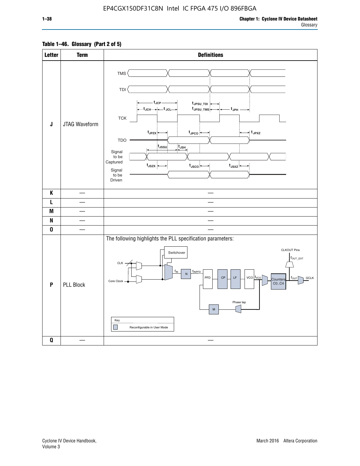## **Table 1–46. Glossary (Part 2 of 5)**

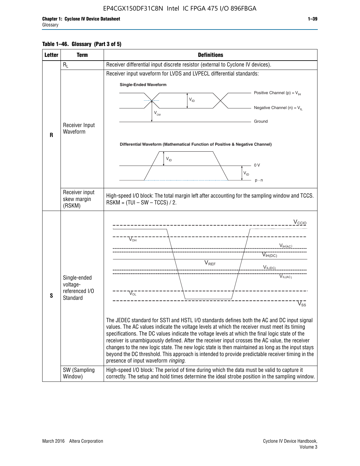## **Table 1–46. Glossary (Part 3 of 5)**

| <b>Letter</b> | <b>Term</b>                   | <b>Definitions</b>                                                                                                                                                                                    |  |  |  |  |  |  |  |  |
|---------------|-------------------------------|-------------------------------------------------------------------------------------------------------------------------------------------------------------------------------------------------------|--|--|--|--|--|--|--|--|
|               | $R_L$                         | Receiver differential input discrete resistor (external to Cyclone IV devices).                                                                                                                       |  |  |  |  |  |  |  |  |
|               |                               | Receiver input waveform for LVDS and LVPECL differential standards:                                                                                                                                   |  |  |  |  |  |  |  |  |
|               |                               | <b>Single-Ended Waveform</b>                                                                                                                                                                          |  |  |  |  |  |  |  |  |
|               |                               | Positive Channel (p) = $V_{\text{H}}$                                                                                                                                                                 |  |  |  |  |  |  |  |  |
|               |                               | $V_{ID}$                                                                                                                                                                                              |  |  |  |  |  |  |  |  |
|               |                               | Negative Channel (n) = $V_{\parallel}$<br>$V_{CM}$                                                                                                                                                    |  |  |  |  |  |  |  |  |
|               |                               | Ground                                                                                                                                                                                                |  |  |  |  |  |  |  |  |
|               | Receiver Input<br>Waveform    |                                                                                                                                                                                                       |  |  |  |  |  |  |  |  |
| R             |                               |                                                                                                                                                                                                       |  |  |  |  |  |  |  |  |
|               |                               | Differential Waveform (Mathematical Function of Positive & Negative Channel)                                                                                                                          |  |  |  |  |  |  |  |  |
|               |                               | $V_{ID}$                                                                                                                                                                                              |  |  |  |  |  |  |  |  |
|               |                               | 0V                                                                                                                                                                                                    |  |  |  |  |  |  |  |  |
|               |                               | $\mathsf{V}_{\mathsf{ID}}$                                                                                                                                                                            |  |  |  |  |  |  |  |  |
|               |                               | $p - n$                                                                                                                                                                                               |  |  |  |  |  |  |  |  |
|               | Receiver input<br>skew margin | High-speed I/O block: The total margin left after accounting for the sampling window and TCCS.<br>$RSKM = (TUI - SW - TCCS) / 2.$                                                                     |  |  |  |  |  |  |  |  |
|               | (RSKM)                        |                                                                                                                                                                                                       |  |  |  |  |  |  |  |  |
|               |                               | $V_{CCIO}$                                                                                                                                                                                            |  |  |  |  |  |  |  |  |
|               |                               |                                                                                                                                                                                                       |  |  |  |  |  |  |  |  |
|               |                               | $V_{\text{OH}}$                                                                                                                                                                                       |  |  |  |  |  |  |  |  |
|               |                               | V <sub>IH(AC)</sub>                                                                                                                                                                                   |  |  |  |  |  |  |  |  |
|               |                               | $V_{IH(DC)}$                                                                                                                                                                                          |  |  |  |  |  |  |  |  |
|               |                               | $V_{REF}$<br>$V_{IL(DC)}$                                                                                                                                                                             |  |  |  |  |  |  |  |  |
|               | Single-ended                  | VIL(AC)                                                                                                                                                                                               |  |  |  |  |  |  |  |  |
|               | voltage-                      |                                                                                                                                                                                                       |  |  |  |  |  |  |  |  |
| S             | referenced I/O<br>Standard    | $V_{OL}$                                                                                                                                                                                              |  |  |  |  |  |  |  |  |
|               |                               | $\overline{\mathsf{V}}_\mathsf{SS}^-$                                                                                                                                                                 |  |  |  |  |  |  |  |  |
|               |                               |                                                                                                                                                                                                       |  |  |  |  |  |  |  |  |
|               |                               | The JEDEC standard for SSTI and HSTL I/O standards defines both the AC and DC input signal<br>values. The AC values indicate the voltage levels at which the receiver must meet its timing            |  |  |  |  |  |  |  |  |
|               |                               | specifications. The DC values indicate the voltage levels at which the final logic state of the                                                                                                       |  |  |  |  |  |  |  |  |
|               |                               | receiver is unambiguously defined. After the receiver input crosses the AC value, the receiver                                                                                                        |  |  |  |  |  |  |  |  |
|               |                               | changes to the new logic state. The new logic state is then maintained as long as the input stays<br>beyond the DC threshold. This approach is intended to provide predictable receiver timing in the |  |  |  |  |  |  |  |  |
|               |                               | presence of input waveform ringing.                                                                                                                                                                   |  |  |  |  |  |  |  |  |
|               | SW (Sampling<br>Window)       | High-speed I/O block: The period of time during which the data must be valid to capture it<br>correctly. The setup and hold times determine the ideal strobe position in the sampling window.         |  |  |  |  |  |  |  |  |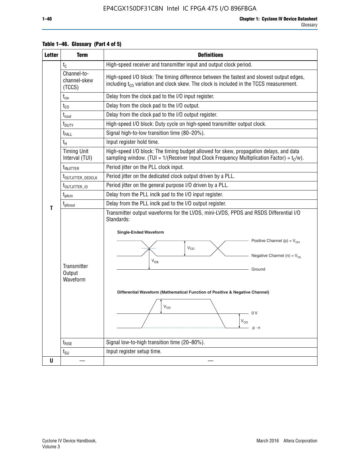| <b>Letter</b> | <b>Term</b>                           | <b>Definitions</b>                                                                                                                                                                                                                                                                                                                                              |  |  |  |  |  |  |  |
|---------------|---------------------------------------|-----------------------------------------------------------------------------------------------------------------------------------------------------------------------------------------------------------------------------------------------------------------------------------------------------------------------------------------------------------------|--|--|--|--|--|--|--|
|               | $t_{C}$                               | High-speed receiver and transmitter input and output clock period.                                                                                                                                                                                                                                                                                              |  |  |  |  |  |  |  |
|               | Channel-to-<br>channel-skew<br>(TCCS) | High-speed I/O block: The timing difference between the fastest and slowest output edges,<br>including $t_{C0}$ variation and clock skew. The clock is included in the TCCS measurement.                                                                                                                                                                        |  |  |  |  |  |  |  |
|               | $t_{\text{cin}}$                      | Delay from the clock pad to the I/O input register.                                                                                                                                                                                                                                                                                                             |  |  |  |  |  |  |  |
|               | $t_{CO}$                              | Delay from the clock pad to the I/O output.                                                                                                                                                                                                                                                                                                                     |  |  |  |  |  |  |  |
|               | $t_{\rm{cout}}$                       | Delay from the clock pad to the I/O output register.                                                                                                                                                                                                                                                                                                            |  |  |  |  |  |  |  |
|               | t <sub>DUTY</sub>                     | High-speed I/O block: Duty cycle on high-speed transmitter output clock.                                                                                                                                                                                                                                                                                        |  |  |  |  |  |  |  |
|               | t <sub>FALL</sub>                     | Signal high-to-low transition time (80-20%).                                                                                                                                                                                                                                                                                                                    |  |  |  |  |  |  |  |
|               | $t_H$                                 | Input register hold time.                                                                                                                                                                                                                                                                                                                                       |  |  |  |  |  |  |  |
|               | <b>Timing Unit</b><br>Interval (TUI)  | High-speed I/O block: The timing budget allowed for skew, propagation delays, and data<br>sampling window. (TUI = $1/($ Receiver Input Clock Frequency Multiplication Factor) = $tC/w$ ).                                                                                                                                                                       |  |  |  |  |  |  |  |
|               | t <sub>INJITTER</sub>                 | Period jitter on the PLL clock input.                                                                                                                                                                                                                                                                                                                           |  |  |  |  |  |  |  |
|               | t <sub>outjitter_dedclk</sub>         | Period jitter on the dedicated clock output driven by a PLL.                                                                                                                                                                                                                                                                                                    |  |  |  |  |  |  |  |
|               | t <sub>outjitter_io</sub>             | Period jitter on the general purpose I/O driven by a PLL.                                                                                                                                                                                                                                                                                                       |  |  |  |  |  |  |  |
|               | t <sub>pllcin</sub>                   | Delay from the PLL inclk pad to the I/O input register.                                                                                                                                                                                                                                                                                                         |  |  |  |  |  |  |  |
| T             | $t_{\text{pll}$ cout                  | Delay from the PLL inclk pad to the I/O output register.                                                                                                                                                                                                                                                                                                        |  |  |  |  |  |  |  |
|               | Transmitter<br>Output<br>Waveform     | Transmitter output waveforms for the LVDS, mini-LVDS, PPDS and RSDS Differential I/O<br>Standards:<br><b>Single-Ended Waveform</b><br>Positive Channel (p) = $V_{OH}$<br>VOD<br>Negative Channel (n) = $V_{OL}$<br>$V_{OS}$<br>Ground<br>Differential Waveform (Mathematical Function of Positive & Negative Channel)<br>$V_{OD}$<br>n V<br>$V_{OD}$<br>$p - n$ |  |  |  |  |  |  |  |
|               | $t_{\text{RISE}}$                     | Signal low-to-high transition time (20-80%).                                                                                                                                                                                                                                                                                                                    |  |  |  |  |  |  |  |
|               | $t_{\scriptstyle\text{SU}}$           | Input register setup time.                                                                                                                                                                                                                                                                                                                                      |  |  |  |  |  |  |  |
| U             |                                       |                                                                                                                                                                                                                                                                                                                                                                 |  |  |  |  |  |  |  |

## **Table 1–46. Glossary (Part 4 of 5)**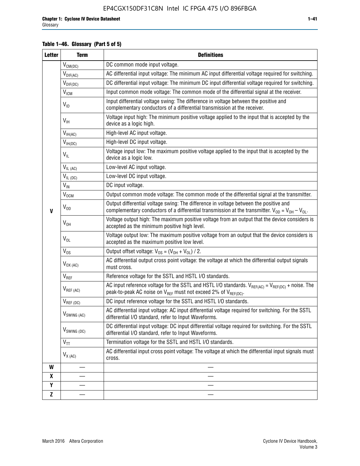## **Table 1–46. Glossary (Part 5 of 5)**

| <b>Letter</b>    | <b>Term</b>               | <b>Definitions</b>                                                                                                                                                                                |
|------------------|---------------------------|---------------------------------------------------------------------------------------------------------------------------------------------------------------------------------------------------|
|                  | $V_{CM(DC)}$              | DC common mode input voltage.                                                                                                                                                                     |
|                  | $V_{DIF(AC)}$             | AC differential input voltage: The minimum AC input differential voltage required for switching.                                                                                                  |
|                  | $V_{DIF(DC)}$             | DC differential input voltage: The minimum DC input differential voltage required for switching.                                                                                                  |
|                  | <b>V<sub>ICM</sub></b>    | Input common mode voltage: The common mode of the differential signal at the receiver.                                                                                                            |
|                  | $V_{ID}$                  | Input differential voltage swing: The difference in voltage between the positive and<br>complementary conductors of a differential transmission at the receiver.                                  |
|                  | $V_{\text{IH}}$           | Voltage input high: The minimum positive voltage applied to the input that is accepted by the<br>device as a logic high.                                                                          |
|                  | $V_{IH(AC)}$              | High-level AC input voltage.                                                                                                                                                                      |
|                  | $V_{IH(DC)}$              | High-level DC input voltage.                                                                                                                                                                      |
|                  | $V_{IL}$                  | Voltage input low: The maximum positive voltage applied to the input that is accepted by the<br>device as a logic low.                                                                            |
|                  | $V_{IL (AC)}$             | Low-level AC input voltage.                                                                                                                                                                       |
|                  | $V_{IL(DC)}$              | Low-level DC input voltage.                                                                                                                                                                       |
|                  | $V_{\text{IN}}$           | DC input voltage.                                                                                                                                                                                 |
|                  | $\rm V_{\rm OCM}$         | Output common mode voltage: The common mode of the differential signal at the transmitter.                                                                                                        |
| $\mathbf{V}$     | $V_{OD}$                  | Output differential voltage swing: The difference in voltage between the positive and<br>complementary conductors of a differential transmission at the transmitter. $V_{OD} = V_{OH} - V_{OL}$ . |
|                  | $V_{OH}$                  | Voltage output high: The maximum positive voltage from an output that the device considers is<br>accepted as the minimum positive high level.                                                     |
|                  | $V_{OL}$                  | Voltage output low: The maximum positive voltage from an output that the device considers is<br>accepted as the maximum positive low level.                                                       |
|                  | $V_{OS}$                  | Output offset voltage: $V_{OS} = (V_{OH} + V_{OL}) / 2$ .                                                                                                                                         |
|                  | $V_{OX (AC)}$             | AC differential output cross point voltage: the voltage at which the differential output signals<br>must cross.                                                                                   |
|                  | $V_{REF}$                 | Reference voltage for the SSTL and HSTL I/O standards.                                                                                                                                            |
|                  | $V_{REF\,(AC)}$           | AC input reference voltage for the SSTL and HSTL I/O standards. $V_{REF(AC)} = V_{REF(DC)} +$ noise. The<br>peak-to-peak AC noise on $V_{REF}$ must not exceed 2% of $V_{REF(DC)}$ .              |
|                  | $V_{REF(DC)}$             | DC input reference voltage for the SSTL and HSTL I/O standards.                                                                                                                                   |
|                  | $V_{\textrm{SWING (AC)}}$ | AC differential input voltage: AC input differential voltage required for switching. For the SSTL<br>differential I/O standard, refer to Input Waveforms.                                         |
|                  | V <sub>SWING (DC)</sub>   | DC differential input voltage: DC input differential voltage required for switching. For the SSTL<br>differential I/O standard, refer to Input Waveforms.                                         |
|                  | $V_{TT}$                  | Termination voltage for the SSTL and HSTL I/O standards.                                                                                                                                          |
|                  | $V_{X (AC)}$              | AC differential input cross point voltage: The voltage at which the differential input signals must<br>cross.                                                                                     |
| W                |                           |                                                                                                                                                                                                   |
| $\boldsymbol{x}$ |                           |                                                                                                                                                                                                   |
| Y                |                           |                                                                                                                                                                                                   |
| $\mathbf{Z}$     |                           |                                                                                                                                                                                                   |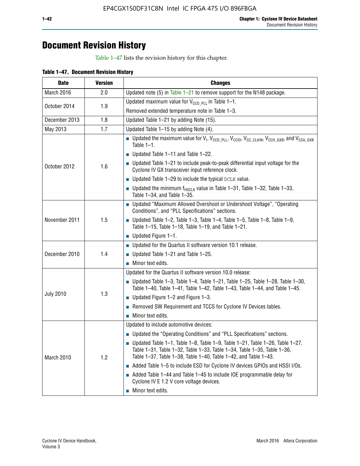## **Document Revision History**

Table 1–47 lists the revision history for this chapter.

| <b>Date</b>      | <b>Version</b> | <b>Changes</b>                                                                                                                                                                                                                            |
|------------------|----------------|-------------------------------------------------------------------------------------------------------------------------------------------------------------------------------------------------------------------------------------------|
| March 2016       | 2.0            | Updated note (5) in Table $1-21$ to remove support for the N148 package.                                                                                                                                                                  |
|                  | 1.9            | Updated maximum value for $V_{CCD, PL}$ in Table 1-1.                                                                                                                                                                                     |
| October 2014     |                | Removed extended temperature note in Table 1-3.                                                                                                                                                                                           |
| December 2013    | 1.8            | Updated Table 1-21 by adding Note (15).                                                                                                                                                                                                   |
| May 2013         | 1.7            | Updated Table 1-15 by adding Note (4).                                                                                                                                                                                                    |
|                  | 1.6            | Dpdated the maximum value for $V_1$ , $V_{CCD\_PLL}$ , $V_{CC10}$ , $V_{CC\_CLKIN}$ , $V_{CCH\_GXB}$ , and $V_{CCA\_GXB}$<br>Table $1-1$ .                                                                                                |
|                  |                | $\blacksquare$ Updated Table 1-11 and Table 1-22.                                                                                                                                                                                         |
| October 2012     |                | $\blacksquare$ Updated Table 1-21 to include peak-to-peak differential input voltage for the<br>Cyclone IV GX transceiver input reference clock.                                                                                          |
|                  |                | $\blacksquare$ Updated Table 1-29 to include the typical DCLK value.                                                                                                                                                                      |
|                  |                | <b>Updated the minimum f<sub>HSCLK</sub></b> value in Table 1-31, Table 1-32, Table 1-33,<br>Table 1-34, and Table 1-35.                                                                                                                  |
|                  | 1.5            | • Updated "Maximum Allowed Overshoot or Undershoot Voltage", "Operating<br>Conditions", and "PLL Specifications" sections.                                                                                                                |
| November 2011    |                | Updated Table 1-2, Table 1-3, Table 1-4, Table 1-5, Table 1-8, Table 1-9,<br>Table 1-15, Table 1-18, Table 1-19, and Table 1-21.                                                                                                          |
|                  |                | ■ Updated Figure $1-1$ .                                                                                                                                                                                                                  |
|                  | 1.4            | • Updated for the Quartus II software version 10.1 release.                                                                                                                                                                               |
| December 2010    |                | $\blacksquare$ Updated Table 1-21 and Table 1-25.                                                                                                                                                                                         |
|                  |                | $\blacksquare$ Minor text edits.                                                                                                                                                                                                          |
|                  | 1.3            | Updated for the Quartus II software version 10.0 release:                                                                                                                                                                                 |
|                  |                | Updated Table 1-3, Table 1-4, Table 1-21, Table 1-25, Table 1-28, Table 1-30,<br>Table 1-40, Table 1-41, Table 1-42, Table 1-43, Table 1-44, and Table 1-45.                                                                              |
| <b>July 2010</b> |                | ■ Updated Figure $1-2$ and Figure $1-3$ .                                                                                                                                                                                                 |
|                  |                | Removed SW Requirement and TCCS for Cyclone IV Devices tables.                                                                                                                                                                            |
|                  |                | $\blacksquare$ Minor text edits.                                                                                                                                                                                                          |
|                  | 1.2            | Updated to include automotive devices:                                                                                                                                                                                                    |
|                  |                | • Updated the "Operating Conditions" and "PLL Specifications" sections.                                                                                                                                                                   |
| March 2010       |                | $\blacksquare$ Updated Table 1-1, Table 1-8, Table 1-9, Table 1-21, Table 1-26, Table 1-27,<br>Table 1-31, Table 1-32, Table 1-33, Table 1-34, Table 1-35, Table 1-36,<br>Table 1-37, Table 1-38, Table 1-40, Table 1-42, and Table 1-43. |
|                  |                | Added Table 1-5 to include ESD for Cyclone IV devices GPIOs and HSSI I/Os.                                                                                                                                                                |
|                  |                | Added Table 1-44 and Table 1-45 to include IOE programmable delay for<br>Cyclone IV E 1.2 V core voltage devices.                                                                                                                         |
|                  |                | Minor text edits.                                                                                                                                                                                                                         |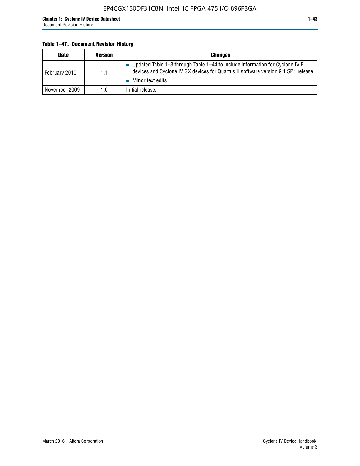## **Table 1–47. Document Revision History**

| <b>Date</b>   | <b>Version</b> | <b>Changes</b>                                                                                                                                                                          |
|---------------|----------------|-----------------------------------------------------------------------------------------------------------------------------------------------------------------------------------------|
| February 2010 | 1.1            | Updated Table 1-3 through Table 1-44 to include information for Cyclone IV E<br>devices and Cyclone IV GX devices for Quartus II software version 9.1 SP1 release.<br>Minor text edits. |
| November 2009 | 1.0            | Initial release.                                                                                                                                                                        |